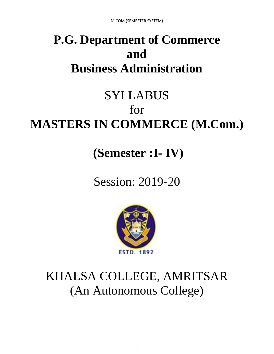# **P.G. Department of Commerce and Business Administration**

# SYLLABUS for **MASTERS IN COMMERCE (M.Com.)**

**(Semester :I- IV)**

Session: 2019-20



# KHALSA COLLEGE, AMRITSAR (An Autonomous College)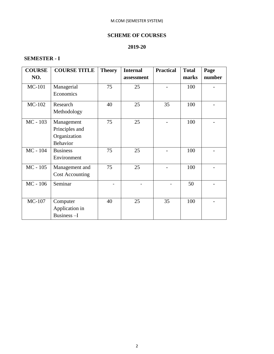### **SCHEME OF COURSES**

#### **2019-20**

#### **SEMESTER - I**

| <b>COURSE</b> | <b>COURSE TITLE</b>    | <b>Theory</b> | <b>Internal</b> | <b>Practical</b> | <b>Total</b> | Page   |
|---------------|------------------------|---------------|-----------------|------------------|--------------|--------|
| NO.           |                        |               | assessment      |                  | marks        | number |
| <b>MC-101</b> | Managerial             | 75            | 25              |                  | 100          |        |
|               | Economics              |               |                 |                  |              |        |
| MC-102        | Research               | 40            | 25              | 35               | 100          |        |
|               | Methodology            |               |                 |                  |              |        |
| MC - 103      | Management             | 75            | 25              |                  | 100          |        |
|               | Principles and         |               |                 |                  |              |        |
|               | Organization           |               |                 |                  |              |        |
|               | Behavior               |               |                 |                  |              |        |
| MC - 104      | <b>Business</b>        | 75            | 25              |                  | 100          |        |
|               | Environment            |               |                 |                  |              |        |
| $MC - 105$    | Management and         | 75            | 25              |                  | 100          |        |
|               | <b>Cost Accounting</b> |               |                 |                  |              |        |
| MC - 106      | Seminar                |               |                 |                  | 50           |        |
|               |                        |               |                 |                  |              |        |
| MC-107        | Computer               | 40            | 25              | 35               | 100          |        |
|               | Application in         |               |                 |                  |              |        |
|               | Business-I             |               |                 |                  |              |        |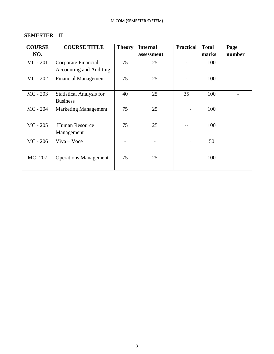### **SEMESTER – II**

| <b>COURSE</b> | <b>COURSE TITLE</b>                                   | <b>Theory</b> | <b>Internal</b> | <b>Practical</b> | <b>Total</b> | Page   |
|---------------|-------------------------------------------------------|---------------|-----------------|------------------|--------------|--------|
| NO.           |                                                       |               | assessment      |                  | marks        | number |
| $MC - 201$    | Corporate Financial<br><b>Accounting and Auditing</b> | 75            | 25              |                  | 100          |        |
| $MC - 202$    | <b>Financial Management</b>                           | 75            | 25              |                  | 100          |        |
| $MC - 203$    | <b>Statistical Analysis for</b><br><b>Business</b>    | 40            | 25              | 35               | 100          |        |
| $MC - 204$    | <b>Marketing Management</b>                           | 75            | 25              |                  | 100          |        |
| $MC - 205$    | Human Resource<br>Management                          | 75            | 25              |                  | 100          |        |
| $MC - 206$    | $V$ iva – Voce                                        |               |                 |                  | 50           |        |
| MC-207        | <b>Operations Management</b>                          | 75            | 25              |                  | 100          |        |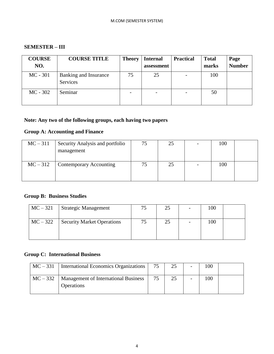#### **SEMESTER – III**

| <b>COURSE</b><br>NO. | <b>COURSE TITLE</b>               | <b>Theory</b> | <b>Internal</b><br>assessment | <b>Practical</b>         | <b>Total</b><br>marks | Page<br><b>Number</b> |
|----------------------|-----------------------------------|---------------|-------------------------------|--------------------------|-----------------------|-----------------------|
| $MC - 301$           | Banking and Insurance<br>Services | 75            | 25                            | -                        | 100                   |                       |
| $MC - 302$           | Seminar                           |               | $\overline{\phantom{a}}$      | $\overline{\phantom{0}}$ | 50                    |                       |

#### **Note: Any two of the following groups, each having two papers**

### **Group A: Accounting and Finance**

| $MC-311$ | Security Analysis and portfolio<br>management | 75 | 25 | 100 |  |
|----------|-----------------------------------------------|----|----|-----|--|
| $MC-312$ | Contemporary Accounting                       |    | 25 | 100 |  |

### **Group B: Business Studies**

| $MC-321$ | <b>Strategic Management</b>       | 25 | 100 |  |
|----------|-----------------------------------|----|-----|--|
| $MC-322$ | <b>Security Market Operations</b> | 25 | 100 |  |
|          |                                   |    |     |  |

### **Group C: International Business**

| $MC-331$ | International Economics Organizations                                  | 75 | 25 | $\overline{\phantom{a}}$ | 100 |  |
|----------|------------------------------------------------------------------------|----|----|--------------------------|-----|--|
|          | $MC - 332$   Management of International Business<br><b>Operations</b> | 75 | 25 | $\overline{\phantom{a}}$ | 100 |  |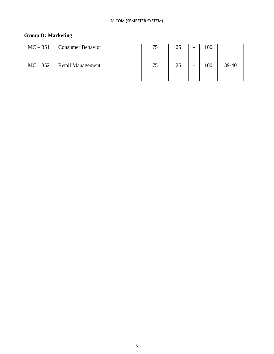### **Group D: Marketing**

| $MC-351$ | <b>Consumer Behavior</b> | 75 | 25 | 100 |       |
|----------|--------------------------|----|----|-----|-------|
| $MC-352$ | <b>Retail Management</b> | 75 | 25 | 100 | 39-40 |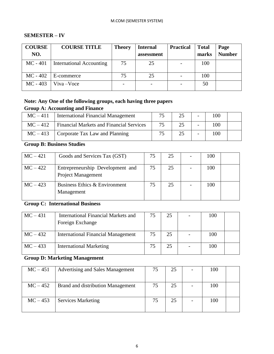#### M.COM (SEMESTER SYSTEM)

#### **SEMESTER – IV**

| <b>COURSE</b><br>NO. | <b>COURSE TITLE</b>      | <b>Theory</b> | <b>Internal</b><br>assessment | <b>Practical</b> | <b>Total</b><br>marks | Page<br><b>Number</b> |
|----------------------|--------------------------|---------------|-------------------------------|------------------|-----------------------|-----------------------|
| $MC - 401$           | International Accounting | 75            | 25                            |                  | 100                   |                       |
| $MC - 402$           | E-commerce               | 75            | 25                            |                  | 100                   |                       |
| $MC - 403$           | $Viva - Voce$            |               |                               |                  | 50                    |                       |

#### **Note: Any One of the following groups, each having three papers Group A: Accounting and Finance**

| $MC-411$ | International Financial Management              | 75 |    | 100 |  |
|----------|-------------------------------------------------|----|----|-----|--|
| $MC-412$ | <b>Financial Markets and Financial Services</b> | 75 | 25 | 100 |  |
| $MC-413$ | Corporate Tax Law and Planning                  | 75 |    | 100 |  |

**Group B: Business Studies**

| $MC-421$   | Goods and Services Tax (GST)                           | 75 | 25 | 100 |  |
|------------|--------------------------------------------------------|----|----|-----|--|
| $MC-422$   | Entrepreneurship Development and<br>Project Management | 75 | 25 | 100 |  |
| $MC - 423$ | Business Ethics & Environment<br>Management            | 75 | 25 | 100 |  |

## **Group C: International Business**

| $MC-431$ | <b>International Financial Markets and</b><br>Foreign Exchange | 75 | 25 | 100 |  |
|----------|----------------------------------------------------------------|----|----|-----|--|
| $MC-432$ | <b>International Financial Management</b>                      | 75 | 25 | 100 |  |
| $MC-433$ | <b>International Marketing</b>                                 | 75 | 25 | 100 |  |

## **Group D: Marketing Management**

| $MC - 451$ | Advertising and Sales Management  | 75 | 25 |   | 100 |  |
|------------|-----------------------------------|----|----|---|-----|--|
|            |                                   |    |    |   |     |  |
| $MC - 452$ | Brand and distribution Management | 75 | 25 | - | 100 |  |
| $MC-453$   | <b>Services Marketing</b>         | 75 | 25 |   | 100 |  |
|            |                                   |    |    |   |     |  |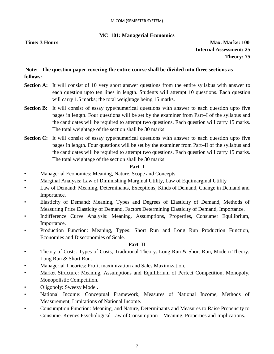#### **MC–101: Managerial Economics**

**Time: 3 Hours Max. Marks: 100 Internal Assessment: 25 Theory: 75**

#### **Note: The question paper covering the entire course shall be divided into three sections as follows:**

- **Section A:** It will consist of 10 very short answer questions from the entire syllabus with answer to each question upto ten lines in length. Students will attempt 10 questions. Each question will carry 1.5 marks; the total weightage being 15 marks.
- **Section B:** It will consist of essay type/numerical questions with answer to each question upto five pages in length. Four questions will be set by the examiner from Part–I of the syllabus and the candidates will be required to attempt two questions. Each question will carry 15 marks. The total weightage of the section shall be 30 marks.
- **Section C:** It will consist of essay type/numerical questions with answer to each question upto five pages in length. Four questions will be set by the examiner from Part–II of the syllabus and the candidates will be required to attempt two questions. Each question will carry 15 marks. The total weightage of the section shall be 30 marks.

#### **Part–I**

- Managerial Economics: Meaning, Nature, Scope and Concepts
- Marginal Analysis: Law of Diminishing Marginal Utility, Law of Equimarginal Utility
- Law of Demand: Meaning, Determinants, Exceptions, Kinds of Demand, Change in Demand and Importance.
- Elasticity of Demand: Meaning, Types and Degrees of Elasticity of Demand, Methods of Measuring Price Elasticity of Demand, Factors Determining Elasticity of Demand, Importance.
- Indifference Curve Analysis: Meaning, Assumptions, Properties, Consumer Equilibrium, Importance.
- Production Function: Meaning, Types: Short Run and Long Run Production Function, Economies and Diseconomies of Scale.

#### **Part–II**

- Theory of Costs: Types of Costs, Traditional Theory: Long Run & Short Run, Modern Theory: Long Run & Short Run.
- Managerial Theories: Profit maximization and Sales Maximization.
- Market Structure: Meaning, Assumptions and Equilibrium of Perfect Competition, Monopoly, Monopolistic Competition.
- Oligopoly: Sweezy Model.
- National Income: Conceptual Framework, Measures of National Income, Methods of Measurement, Limitations of National Income.
- Consumption Function: Meaning, and Nature, Determinants and Measures to Raise Propensity to Consume. Keynes Psychological Law of Consumption – Meaning, Properties and Implications.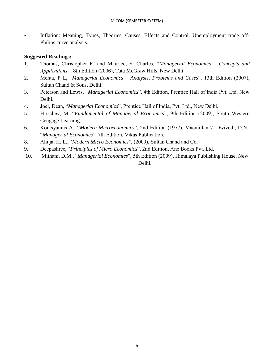• Inflation: Meaning, Types, Theories, Causes, Effects and Control. Unemployment trade off-Philips curve analysis.

- 1. Thomas, Christopher R. and Maurice, S. Charles, "*Managerial Economics – Concepts and Applications"*, 8th Edition (2006), Tata McGraw Hills, New Delhi.
- 2. Mehta, P L, "*Managerial Economics – Analysis, Problems and Cases*", 13th Edition (2007), Sultan Chand & Sons, Delhi.
- 3. Peterson and Lewis, "*Managerial Economics*", 4th Edition, Prentice Hall of India Pvt. Ltd. New Delhi.
- 4. Joel, Dean, "*Managerial Economics*", Prentice Hall of India, Pvt. Ltd., New Delhi.
- 5. Hirschey, M. "*Fundamental of Managerial Economics*", 9th Edition (2009), South Western Cengage Learning.
- 6. Koutsyannis A., "*Modern Microeconomics*", 2nd Edition (1977), Macmillan 7. Dwivedi, D.N., "*Managerial Economics*", 7th Edition, Vikas Publication.
- 8. Ahuja, H. L., "*Modern Micro Economics*", (2009), Sultan Chand and Co.
- 9. Deepashree, "*Principles of Micro Economics*", 2nd Edition, Ane Books Pvt. Ltd.
- 10. Mithani, D.M., "*Managerial Economics*", 5th Edition (2009), Himalaya Publishing House, New Delhi.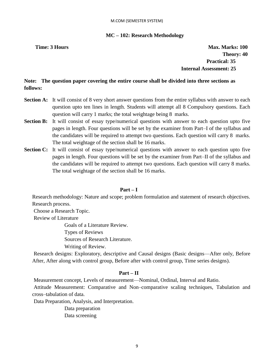#### **MC – 102: Research Methodology**

**Time: 3 Hours Max. Marks: 100 Max. Marks: 100 Theory: 40 Practical: 35 Internal Assessment: 25** 

**Note: The question paper covering the entire course shall be divided into three sections as follows:** 

- **Section A:** It will consist of 8 very short answer questions from the entire syllabus with answer to each question upto ten lines in length. Students will attempt all 8 Compulsory questions. Each question will carry 1 marks; the total weightage being 8 marks.
- **Section B:** It will consist of essay type/numerical questions with answer to each question upto five pages in length. Four questions will be set by the examiner from Part–I of the syllabus and the candidates will be required to attempt two questions. Each question will carry 8 marks. The total weightage of the section shall be 16 marks.
- **Section C:** It will consist of essay type/numerical questions with answer to each question upto five pages in length. Four questions will be set by the examiner from Part–II of the syllabus and the candidates will be required to attempt two questions. Each question will carry 8 marks. The total weightage of the section shall be 16 marks.

#### **Part – I**

Research methodology: Nature and scope; problem formulation and statement of research objectives. Research process.

Choose a Research Topic.

Review of Literature

Goals of a Literature Review.

Types of Reviews

Sources of Research Literature.

Writing of Review.

Research designs: Exploratory, descriptive and Causal designs (Basic designs—After only, Before After, After along with control group, Before after with control group, Time series designs).

#### **Part – II**

Measurement concept, Levels of measurement—Nominal, Ordinal, Interval and Ratio.

Attitude Measurement: Comparative and Non–comparative scaling techniques, Tabulation and cross–tabulation of data.

Data Preparation, Analysis, and Interpretation.

Data preparation Data screening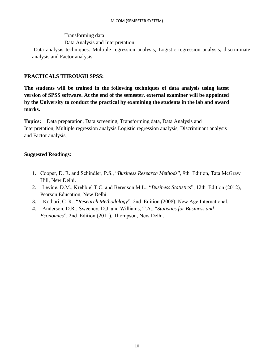#### Transforming data

Data Analysis and Interpretation.

Data analysis techniques: Multiple regression analysis, Logistic regression analysis, discriminate analysis and Factor analysis.

#### **PRACTICALS THROUGH SPSS:**

**The students will be trained in the following techniques of data analysis using latest version of SPSS software. At the end of the semester, external examiner will be appointed by the University to conduct the practical by examining the students in the lab and award marks.** 

**Topics:** Data preparation, Data screening, Transforming data, Data Analysis and Interpretation, Multiple regression analysis Logistic regression analysis, Discriminant analysis and Factor analysis,

- 1. Cooper, D. R. and Schindler, P.S., "*Business Research Methods*", 9th Edition, Tata McGraw Hill, New Delhi.
- 2. Levine, D.M., Krehbiel T.C. and Berenson M.L., "*Business Statistics*", 12th Edition (2012), Pearson Education, New Delhi.
- 3. Kothari, C. R., "*Research Methodology*", 2nd Edition (2008), New Age International.
- *4.* Anderson, D.R.; Sweeney, D.J. and Williams, T.A., "*Statistics for Business and Economics*", 2nd Edition (2011), Thompson, New Delhi.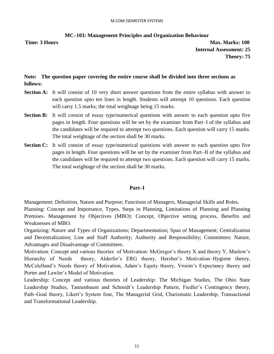#### **MC–103: Management Principles and Organization Behaviour**

**Time: 3 Hours Max. Marks: 100 Internal Assessment: 25 Theory: 75**

#### **Note: The question paper covering the entire course shall be divided into three sections as follows:**

- **Section A:** It will consist of 10 very short answer questions from the entire syllabus with answer to each question upto ten lines in length. Students will attempt 10 questions. Each question will carry 1.5 marks; the total weightage being 15 marks.
- **Section B:** It will consist of essay type/numerical questions with answer to each question upto five pages in length. Four questions will be set by the examiner from Part–I of the syllabus and the candidates will be required to attempt two questions. Each question will carry 15 marks. The total weightage of the section shall be 30 marks.
- **Section C:** It will consist of essay type/numerical questions with answer to each question upto five pages in length. Four questions will be set by the examiner from Part–II of the syllabus and the candidates will be required to attempt two questions. Each question will carry 15 marks. The total weightage of the section shall be 30 marks.

#### **Part–I**

Management: Definition, Nature and Purpose; Functions of Managers, Managerial Skills and Roles. Planning: Concept and Importance, Types, Steps in Planning, Limitations of Planning and Planning Premises. Management by Objectives (MBO): Concept, Objective setting process, Benefits and Weaknesses of MBO.

Organizing: Nature and Types of Organizations; Departmentation; Span of Management; Centralization and Decentralization; Line and Staff Authority; Authority and Responsibility; Committees: Nature, Advantages and Disadvantage of Committees.

Motivation: Concept and various theories of Motivation: McGregor's theory X and theory Y, Maslow's Hierarchy of Needs theory, Alderfer's ERG theory, Herzber's Motivation–Hygiene theory, McCelelland's Needs theory of Motivation, Adam's Equity theory, Vroom's Expectancy theory and Porter and Lawler's Model of Motivation.

Leadership: Concept and various theories of Leadership: The Michigan Studies, The Ohio State Leadership Studies, Tannenbaum and Schmidt's Leadership Pattern, Fiedler's Contingency theory, Path–Goal theory, Likert's System four, The Managerial Grid, Charismatic Leadership, Transactional and Transformational Leadership.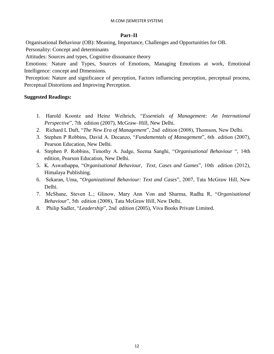#### **Part–II**

Organisational Behaviour (OB): Meaning, Importance, Challenges and Opportunities for OB.

Personality: Concept and determinants

Attitudes: Sources and types, Cognitive dissonance theory

Emotions: Nature and Types, Sources of Emotions, Managing Emotions at work, Emotional Intelligence: concept and Dimensions.

Perception: Nature and significance of perception, Factors influencing perception, perceptual process, Perceptual Distortions and Improving Perception.

- 1. Harold Koontz and Heinz Weihrich, "*Essentials of Management: An International Perspective*", 7th edition (2007), McGraw–Hill, New Delhi.
- 2. Richard L Daft, "*The New Era of Management*", 2nd edition (2008), Thomson, New Delhi.
- 3. Stephen P Robbins, David A. Decanzo, "*Fundamentals of Management*", 6th edition (2007), Pearson Education, New Delhi.
- 4. Stephen P. Robbins, Timothy A. Judge, Seema Sanghi, "*Organisational Behaviour* ", 14th edition, Pearson Education, New Delhi.
- 5. K. Aswathappa, "*Organisational Behaviour, Text, Cases and Games*", 10th edition (2012), Himalaya Publishing.
- 6. Sekaran, Uma, "*Organizational Behaviour: Text and Cases*", 2007, Tata McGraw Hill, New Delhi.
- 7. McShane, Steven L.; Glinow, Mary Ann Von and Sharma, Radha R, "*Organisational Behaviour*", 5th edition (2008), Tata McGraw Hill, New Delhi.
- 8. Philip Sadler, "*Leadership*", 2nd edition (2005), Viva Books Private Limited.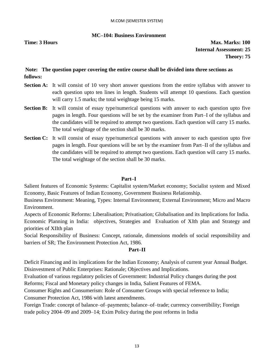#### **MC–104: Business Environment**

**Time: 3 Hours Max. Marks: 100 Internal Assessment: 25 Theory: 75**

#### **Note: The question paper covering the entire course shall be divided into three sections as follows:**

- **Section A:** It will consist of 10 very short answer questions from the entire syllabus with answer to each question upto ten lines in length. Students will attempt 10 questions. Each question will carry 1.5 marks; the total weightage being 15 marks.
- **Section B:** It will consist of essay type/numerical questions with answer to each question upto five pages in length. Four questions will be set by the examiner from Part–I of the syllabus and the candidates will be required to attempt two questions. Each question will carry 15 marks. The total weightage of the section shall be 30 marks.
- **Section C:** It will consist of essay type/numerical questions with answer to each question upto five pages in length. Four questions will be set by the examiner from Part–II of the syllabus and the candidates will be required to attempt two questions. Each question will carry 15 marks. The total weightage of the section shall be 30 marks.

#### **Part–I**

Salient features of Economic Systems: Capitalist system/Market economy; Socialist system and Mixed Economy, Basic Features of Indian Economy, Government Business Relationship.

Business Environment: Meaning, Types: Internal Environment; External Environment; Micro and Macro Environment.

Aspects of Economic Reforms: Liberalisation; Privatisation; Globalisation and its Implications for India. Economic Planning in India: objectives, Strategies and Evaluation of XIth plan and Strategy and priorities of XIIth plan

Social Responsibility of Business: Concept, rationale, dimensions models of social responsibility and barriers of SR; The Environment Protection Act, 1986.

#### **Part–II**

Deficit Financing and its implications for the Indian Economy; Analysis of current year Annual Budget. Disinvestment of Public Enterprises: Rationale; Objectives and Implications.

Evaluation of various regulatory policies of Government: Industrial Policy changes during the post Reforms; Fiscal and Monetary policy changes in India, Salient Features of FEMA.

Consumer Rights and Consumerism: Role of Consumer Groups with special reference to India; Consumer Protection Act, 1986 with latest amendments.

Foreign Trade: concept of balance–of–payments; balance–of–trade; currency convertibility; Foreign trade policy 2004–09 and 2009–14; Exim Policy during the post reforms in India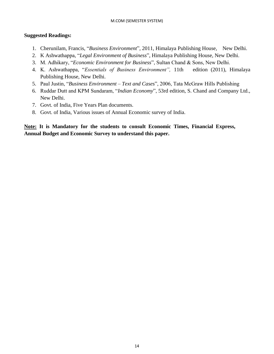#### **Suggested Readings:**

- 1. Cherunilam, Francis, "*Business Environment*", 2011, Himalaya Publishing House, New Delhi.
- 2. K Ashwathappa, "*Legal Environment of Business*", Himalaya Publishing House, New Delhi.
- 3. M. Adhikary, "*Economic Environment for Business*", Sultan Chand & Sons, New Delhi.
- 4. K. Ashwathappa, "*Essentials of Business Environment",* 11th edition (2011), Himalaya Publishing House, New Delhi.
- 5. Paul Justin, "*Business Environment – Text and Cases*", 2006, Tata McGraw Hills Publishing
- 6. Ruddar Dutt and KPM Sundaram, "*Indian Economy*", 53rd edition, S. Chand and Company Ltd., New Delhi.
- 7. Govt. of India, Five Years Plan documents.
- 8. Govt. of India, Various issues of Annual Economic survey of India.

### **Note: It is Mandatory for the students to consult Economic Times, Financial Express, Annual Budget and Economic Survey to understand this paper.**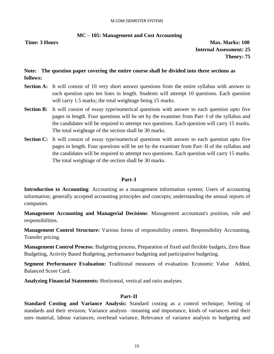#### **MC – 105: Management and Cost Accounting**

**Time: 3 Hours Max. Marks: 100 Internal Assessment: 25 Theory: 75**

#### **Note: The question paper covering the entire course shall be divided into three sections as follows:**

- **Section A:** It will consist of 10 very short answer questions from the entire syllabus with answer to each question upto ten lines in length. Students will attempt 10 questions. Each question will carry 1.5 marks; the total weightage being 15 marks.
- **Section B:** It will consist of essay type/numerical questions with answer to each question upto five pages in length. Four questions will be set by the examiner from Part–I of the syllabus and the candidates will be required to attempt two questions. Each question will carry 15 marks. The total weightage of the section shall be 30 marks.
- **Section C:** It will consist of essay type/numerical questions with answer to each question upto five pages in length. Four questions will be set by the examiner from Part–II of the syllabus and the candidates will be required to attempt two questions. Each question will carry 15 marks. The total weightage of the section shall be 30 marks.

#### **Part–I**

**Introduction to Accounting**: Accounting as a management information system; Users of accounting information; generally accepted accounting principles and concepts; understanding the annual reports of companies.

**Management Accounting and Managerial Decisions**: Management accountant's position, role and responsibilities.

**Management Control Structure:** Various forms of responsibility centers. Responsibility Accounting, Transfer pricing.

**Management Control Process:** Budgeting process, Preparation of fixed and flexible budgets, Zero Base Budgeting, Activity Based Budgeting, performance budgeting and participative budgeting.

**Segment Performance Evaluation:** Traditional measures of evaluation. Economic Value Added, Balanced Score Card.

**Analyzing Financial Statements:** Horizontal, vertical and ratio analyses.

#### **Part–II**

**Standard Costing and Variance Analysis:** Standard costing as a control technique; Setting of standards and their revision; Variance analysis –meaning and importance, kinds of variances and their uses–material, labour variances; overhead variance, Relevance of variance analysis to budgeting and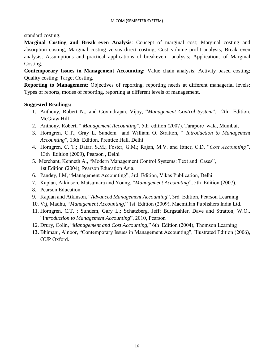standard costing.

**Marginal Costing and Break–even Analysis**: Concept of marginal cost; Marginal costing and absorption costing; Marginal costing versus direct costing; Cost–volume profit analysis; Break–even analysis; Assumptions and practical applications of breakeven– analysis; Applications of Marginal Costing.

**Contemporary Issues in Management Accounting:** Value chain analysis; Activity based costing; Quality costing; Target Costing.

**Reporting to Management**: Objectives of reporting, reporting needs at different managerial levels; Types of reports, modes of reporting, reporting at different levels of management.

- 1. Anthony, Robert N., and Govindrajan, Vijay, "*Management Control System*", 12th Edition, McGraw Hill
- 2. Anthony, Robert, " *Management Accounting*", 5th edition (2007), Tarapore–wala, Mumbai,
- 3. Horngren, C.T., Gray L. Sundem and William O. Stratton, " *Introduction to Management Accounting*", 13th Edition, Prentice Hall, Delhi
- 4. Horngren, C. T.; Datar, S.M.; Foster, G.M.; Rajan, M.V. and Ittner, C.D. "*Cost Accounting",*  13th Edition (2009), Pearson , Delhi
- 5. Merchant, Kenneth A., "Modern Management Control Systems: Text and Cases", 1st Edition (2004), Pearson Education Asia.
- 6. Pandey, I.M, "Management Accounting", 3rd Edition, Vikas Publication, Delhi
- 7. Kaplan, Atkinson, Matsumara and Young, "*Management Accounting*", 5th Edition (2007),
- 8. Pearson Education
- 9. Kaplan and Atkinson, "*Advanced Management Accounting*", 3rd Edition, Pearson Learning
- 10. Vij, Madhu, "*Management Accounting*," 1st Edition (2009), Macmillan Publishers India Ltd.
- 11. Horngren, C.T. ; Sundem, Gary L.; Schatzberg, Jeff; Burgstahler, Dave and Stratton, W.O., "I*ntroduction to Management Accounting*", 2010, Pearson
- 12. Drury, Colin, "*Management and Cost Accounting*," 6th Edition (2004), Thomson Learning
- **13.** Bhimani, Alnoor, "Contemporary Issues in Management Accounting", Illustrated Edition (2006), OUP Oxford.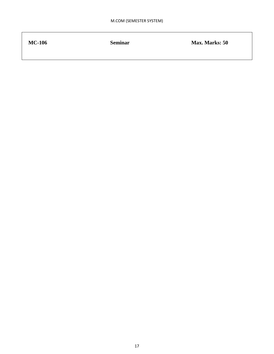| <b>MC-106</b> | <b>Seminar</b> | Max. Marks: 50 |
|---------------|----------------|----------------|
|               |                |                |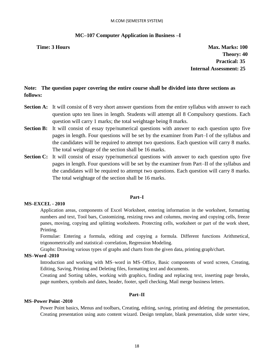#### M.COM (SEMESTER SYSTEM)

#### **MC–107 Computer Application in Business –I**

**Time: 3 Hours Max. Marks: 100 Max. Marks: 100 Theory: 40 Practical: 35 Internal Assessment: 25**

#### **Note: The question paper covering the entire course shall be divided into three sections as follows:**

- **Section A:** It will consist of 8 very short answer questions from the entire syllabus with answer to each question upto ten lines in length. Students will attempt all 8 Compulsory questions. Each question will carry 1 marks; the total weightage being 8 marks.
- **Section B:** It will consist of essay type/numerical questions with answer to each question upto five pages in length. Four questions will be set by the examiner from Part–I of the syllabus and the candidates will be required to attempt two questions. Each question will carry 8 marks. The total weightage of the section shall be 16 marks.
- **Section C:** It will consist of essay type/numerical questions with answer to each question upto five pages in length. Four questions will be set by the examiner from Part–II of the syllabus and the candidates will be required to attempt two questions. Each question will carry 8 marks. The total weightage of the section shall be 16 marks.

#### **Part–I**

#### **MS–EXCEL - 2010**

Application areas, components of Excel Worksheet, entering information in the worksheet, formatting numbers and text, Tool bars, Customizing, resizing rows and columns, moving and copying cells, freeze panes, moving, copying and splitting worksheets. Protecting cells, worksheet or part of the work sheet, Printing.

Formulae: Entering a formula, editing and copying a formula. Different functions Arithmetical, trigonometrically and statistical–correlation, Regression Modeling.

Graphs: Drawing various types of graphs and charts from the given data, printing graph/chart.

#### **MS–Word -2010**

Introduction and working with MS–word in MS–Office, Basic components of word screen, Creating, Editing, Saving, Printing and Deleting files, formatting text and documents.

Creating and Sorting tables, working with graphics, finding and replacing text, inserting page breaks, page numbers, symbols and dates, header, footer, spell checking, Mail merge business letters.

#### **Part–II**

#### **MS–Power Point -2010**

Power Point basics, Menus and toolbars, Creating, editing, saving, printing and deleting the presentation, Creating presentation using auto content wizard. Design template, blank presentation, slide sorter view,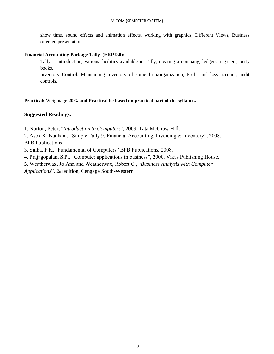show time, sound effects and animation effects, working with graphics, Different Views, Business oriented presentation.

#### **Financial Accounting Package Tally (ERP 9.0):**

Tally – Introduction, various facilities available in Tally, creating a company, ledgers, registers, petty books.

Inventory Control: Maintaining inventory of some firm/organization, Profit and loss account, audit controls.

**Practical:** Weightage **20% and Practical be based on practical part of the syllabus.**

#### **Suggested Readings:**

1. Norton, Peter, "*Introduction to Computers*", 2009, Tata McGraw Hill.

2. Asok K. Nadhani, "Simple Tally 9: Financial Accounting, Invoicing & Inventory", 2008, BPB Publications.

3. Sinha, P.K, "Fundamental of Computers" BPB Publications, 2008.

**4.** Prajagopalan, S.P., "Computer applications in business", 2000, Vikas Publishing House.

**5.** Weatherwax, Jo Ann and Weatherwax, Robert C., "*Business Analysis with Computer*

*Applications*", 2nd edition, Cengage South-Western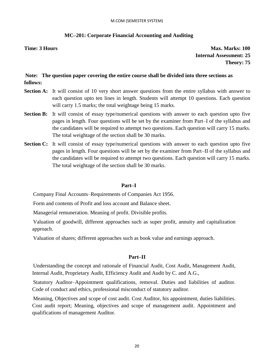#### **MC–201: Corporate Financial Accounting and Auditing**

**Time: 3 Hours Max. Marks: 100 Internal Assessment: 25 Theory: 75**

#### **Note: The question paper covering the entire course shall be divided into three sections as follows:**

- **Section A:** It will consist of 10 very short answer questions from the entire syllabus with answer to each question upto ten lines in length. Students will attempt 10 questions. Each question will carry 1.5 marks; the total weightage being 15 marks.
- **Section B:** It will consist of essay type/numerical questions with answer to each question upto five pages in length. Four questions will be set by the examiner from Part–I of the syllabus and the candidates will be required to attempt two questions. Each question will carry 15 marks. The total weightage of the section shall be 30 marks.
- **Section C:** It will consist of essay type/numerical questions with answer to each question upto five pages in length. Four questions will be set by the examiner from Part–II of the syllabus and the candidates will be required to attempt two questions. Each question will carry 15 marks. The total weightage of the section shall be 30 marks.

#### **Part–I**

Company Final Accounts–Requirements of Companies Act 1956.

Form and contents of Profit and loss account and Balance sheet.

Managerial remuneration. Meaning of profit. Divisible profits.

Valuation of goodwill, different approaches such as super profit, annuity and capitalization approach.

Valuation of shares; different approaches such as book value and earnings approach.

#### **Part–II**

Understanding the concept and rationale of Financial Audit, Cost Audit, Management Audit, Internal Audit, Proprietary Audit, Efficiency Audit and Audit by C. and A.G.,

Statutory Auditor–Appointment qualifications, removal. Duties and liabilities of auditor. Code of conduct and ethics, professional misconduct of statutory auditor.

Meaning, Objectives and scope of cost audit. Cost Auditor, his appointment, duties liabilities. Cost audit report; Meaning, objectives and scope of management audit. Appointment and qualifications of management Auditor.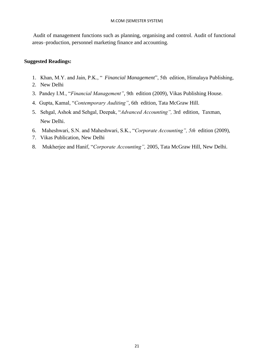Audit of management functions such as planning, organising and control. Audit of functional areas–production, personnel marketing finance and accounting.

- 1. Khan, M.Y. and Jain, P.K., " *Financial Management*", 5th edition, Himalaya Publishing,
- 2. New Delhi
- 3. Pandey I.M., "*Financial Management"*, 9th edition (2009), Vikas Publishing House.
- 4. Gupta, Kamal, "*Contemporary Auditing"*, 6th edition, Tata McGraw Hill.
- 5. Sehgal, Ashok and Sehgal, Deepak, "*Advanced Accounting",* 3rd edition, Taxman, New Delhi.
- 6. Maheshwari, S.N. and Maheshwari, S.K., "*Corporate Accounting", 5th* edition (2009),
- 7. Vikas Publication, New Delhi
- 8. Mukherjee and Hanif, "*Corporate Accounting",* 2005, Tata McGraw Hill, New Delhi.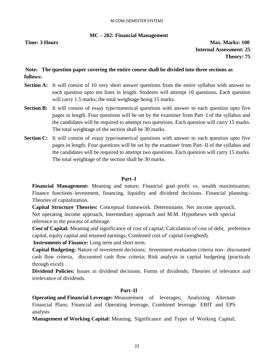#### **MC – 202: Financial Management**

**Time: 3 Hours Max. Marks: 100 Internal Assessment: 25 Theory: 75**

#### **Note: The question paper covering the entire course shall be divided into three sections as follows:**

- **Section A:** It will consist of 10 very short answer questions from the entire syllabus with answer to each question upto ten lines in length. Students will attempt 10 questions. Each question will carry 1.5 marks; the total weightage being 15 marks.
- **Section B:** It will consist of essay type/numerical questions with answer to each question upto five pages in length. Four questions will be set by the examiner from Part–I of the syllabus and the candidates will be required to attempt two questions. Each question will carry 15 marks. The total weightage of the section shall be 30 marks.
- **Section C:** It will consist of essay type/numerical questions with answer to each question upto five pages in length. Four questions will be set by the examiner from Part–II of the syllabus and the candidates will be required to attempt two questions. Each question will carry 15 marks. The total weightage of the section shall be 30 marks.

#### **Part–I**

**Financial Management:** Meaning and nature; Financial goal–profit vs. wealth maximization; Finance functions–investment, financing, liquidity and dividend decisions. Financial planning– Theories of capitalization.

**Capital Structure Theories:** Conceptual framework. Determinants. Net income approach, Net operating income approach, Intermediary approach and M.M. Hypotheses with special reference to the process of arbitrage.

**Cost of Capital:** Meaning and significance of cost of capital; Calculation of cost of debt, preference capital, equity capital and retained earnings; Combined cost of' capital (weighted).

**Instruments of Finance:** Long term and short term.

**Capital Budgeting:** Nature of investment decisions; Investment evaluation criteria non– discounted cash flow criteria, discounted cash flow criteria; Risk analysis in capital budgeting (practicals through excel).

**Dividend Policies:** Issues in dividend decisions. Forms of dividends; Theories of relevance and irrelevance of dividends.

#### **Part–II**

**Operating and Financial Leverage:** Measurement of leverages; Analyzing Alternate Financial Plans; Financial and Operating leverage, Combined leverage. EBIT and EPS analysis

**Management of Working Capital:** Meaning, Significance and Types of Working Capital;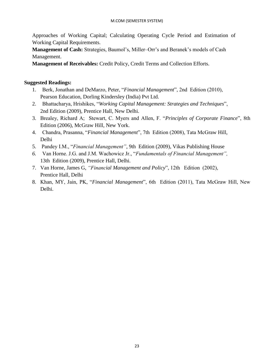Approaches of Working Capital; Calculating Operating Cycle Period and Estimation of Working Capital Requirements.

**Management of Cash:** Strategies, Baumol's, Miller–Orr's and Beranek's models of Cash Management.

**Management of Receivables:** Credit Policy, Credit Terms and Collection Efforts.

- 1. Berk, Jonathan and DeMarzo, Peter, "*Financial Management*", 2nd Edition (2010), Pearson Education, Dorling Kindersley (India) Pvt Ltd.
- 2. Bhattacharya, Hrishikes, "*Working Capital Management: Strategies and Techniques*", 2nd Edition (2009), Prentice Hall, New Delhi.
- 3. Brealey, Richard A; Stewart, C. Myers and Allen, F. "*Principles of Corporate Finance*", 8th Edition (2006), McGraw Hill, New York.
- 4. Chandra, Prasanna, "*Financial Management*", 7th Edition (2008), Tata McGraw Hill, Delhi
- 5. Pandey I.M., "*Financial Management"*, 9th Edition (2009), Vikas Publishing House
- *6.* Van Horne. J.G. and J.M. Wachowicz Jr., "*Fundamentals of Financial Management",*  13th Edition (2009), Prentice Hall, Delhi.
- 7. Van Horne, James G, *"Financial Management and Policy*", 12th Edition (2002), Prentice Hall, Delhi
- 8. Khan, MY, Jain, PK, "*Financial Management*", 6th Edition (2011), Tata McGraw Hill, New Delhi.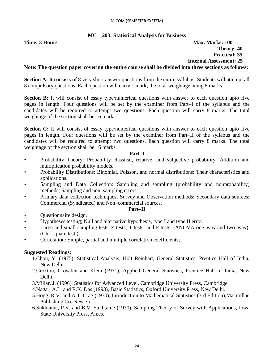#### **MC – 203: Statistical Analysis for Business**

**Time: 3 Hours Max. Marks: 100 Theory: 40 Practical: 35 Internal Assessment: 25**

#### **Note: The question paper covering the entire course shall be divided into three sections as follows:**

**Section A:** It consists of 8 very short answer questions from the entire syllabus. Students will attempt all 8 compulsory questions. Each question will carry 1 mark; the total weightage being 8 marks.

**Section B:** It will consist of essay type/numerical questions with answer to each question upto five pages in length. Four questions will be set by the examiner from Part–I of the syllabus and the candidates will be required to attempt two questions. Each question will carry 8 marks. The total weightage of the section shall be 16 marks.

**Section C:** It will consist of essay type/numerical questions with answer to each question upto five pages in length. Four questions will be set by the examiner from Part–II of the syllabus and the candidates will be required to attempt two questions. Each question will carry 8 marks. The total weightage of the section shall be 16 marks.

#### **Part–I**

- Probability Theory: Probability–classical, relative, and subjective probability; Addition and multiplication probability models.
- Probability Distributions: Binomial. Poisson, and normal distributions; Their characteristics and applications.
- Sampling and Data Collection: Sampling and sampling (probability and nonprobability) methods; Sampling and non–sampling errors.
- Primary data collection techniques; Survey and Observation methods: Secondary data sources; Commercial (Syndicated) and Non–commercial sources.

#### **Part–II**

- Questionnaire design.
- Hypotheses testing; Null and alternative hypothesis, type I and type II error.
- Large and small sampling tests–Z tests, T tests, and F tests. (ANOVA one–way and two–way), (Chi–square test.)
- Correlation: Simple, partial and multiple correlation coefficients;

- 1.Chou, Y. (1975), Statistical Analysis, Holt Reinhart, General Statistics, Prentice Hall of India, New Delhi.
- 2.Croxton, Crowden and Klein (1971), Applied General Statistics, Prentice Hall of India, New Delhi.
- 3.Millar, J. (1996), Statistics for Advanced Level, Cambridge University Press, Cambridge.
- 4.Nagar, A.L. and R.K. Das (1993), Basic Statistics, Oxford University Press, New Delhi.
- 5.Hogg, R.V. and A.T. Crag (1970), Introduction to Mathematical Statistics (3rd Edition),Macmillan Publishing Co. New York.
- 6.Sukhtame, P.V. and B.V. Sukhtame (1970), Sampling Theory of Survey with Applications, Iowa State University Press, Ames.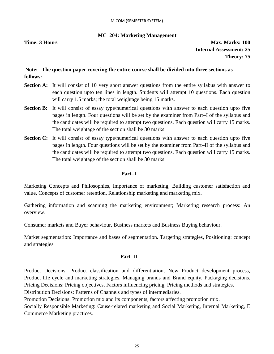#### **MC–204: Marketing Management**

**Time: 3 Hours Max. Marks: 100 Internal Assessment: 25 Theory: 75**

#### **Note: The question paper covering the entire course shall be divided into three sections as follows:**

- **Section A:** It will consist of 10 very short answer questions from the entire syllabus with answer to each question upto ten lines in length. Students will attempt 10 questions. Each question will carry 1.5 marks; the total weightage being 15 marks.
- **Section B:** It will consist of essay type/numerical questions with answer to each question upto five pages in length. Four questions will be set by the examiner from Part–I of the syllabus and the candidates will be required to attempt two questions. Each question will carry 15 marks. The total weightage of the section shall be 30 marks.
- **Section C:** It will consist of essay type/numerical questions with answer to each question upto five pages in length. Four questions will be set by the examiner from Part–II of the syllabus and the candidates will be required to attempt two questions. Each question will carry 15 marks. The total weightage of the section shall be 30 marks.

#### **Part–I**

Marketing Concepts and Philosophies, Importance of marketing, Building customer satisfaction and value, Concepts of customer retention, Relationship marketing and marketing mix.

Gathering information and scanning the marketing environment; Marketing research process: An overview.

Consumer markets and Buyer behaviour, Business markets and Business Buying behaviour.

Market segmentation: Importance and bases of segmentation. Targeting strategies, Positioning: concept and strategies

#### **Part–II**

Product Decisions: Product classification and differentiation, New Product development process, Product life cycle and marketing strategies, Managing brands and Brand equity, Packaging decisions. Pricing Decisions: Pricing objectives, Factors influencing pricing, Pricing methods and strategies.

Distribution Decisions: Patterns of Channels and types of intermediaries.

Promotion Decisions: Promotion mix and its components, factors affecting promotion mix.

Socially Responsible Marketing: Cause-related marketing and Social Marketing, Internal Marketing, E Commerce Marketing practices.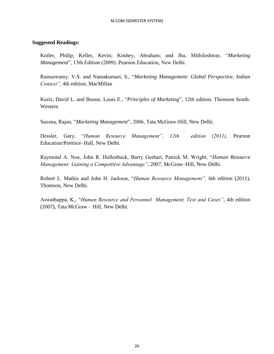#### **Suggested Readings:**

Kotler, Philip; Keller, Kevin; Koshey, Abraham; and Jha, Mithileshwar, "*Marketing Management*", 13th Edition (2009). Pearson Education, New Delhi.

Ramaswamy, V.S. and Namakumari, S., "*Marketing Management: Global Perspective, Indian Context",* 4th edition, MacMillan

Kurtz, David L. and Boone, Louis E., "*Principles of Marketing*", 12th edition, Thomson South-Western

Saxena, Rajan, "*Marketing Management*", 2006, Tata McGraw-Hill, New Delhi.

Dessler, Gary, "*Human Resource Management", 12th edition (2011),* Pearson Education/Prentice–Hall, New Delhi.

Raymond A. Noe, John R. Hollenbeck, Barry Gerhart, Patrick M. Wright, "*Human Resource Management: Gaining a Competitive Advantage"*, 2007, McGraw–Hill, New Delhi.

Robert L. Mathis and John H. Jackson, "*Human Resource Management",* 6th edition (2011), Thomson, New Delhi.

Aswathappa, K., "*Human Resource and Personnel Management, Text and Cases"*, 4th edition (2007), Tata McGraw – Hill, New Delhi.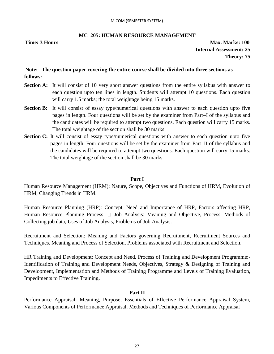#### **MC–205: HUMAN RESOURCE MANAGEMENT**

**Time: 3 Hours Max. Marks: 100 Internal Assessment: 25 Theory: 75**

#### **Note: The question paper covering the entire course shall be divided into three sections as follows:**

- **Section A:** It will consist of 10 very short answer questions from the entire syllabus with answer to each question upto ten lines in length. Students will attempt 10 questions. Each question will carry 1.5 marks; the total weightage being 15 marks.
- **Section B:** It will consist of essay type/numerical questions with answer to each question upto five pages in length. Four questions will be set by the examiner from Part–I of the syllabus and the candidates will be required to attempt two questions. Each question will carry 15 marks. The total weightage of the section shall be 30 marks.
- **Section C:** It will consist of essay type/numerical questions with answer to each question upto five pages in length. Four questions will be set by the examiner from Part–II of the syllabus and the candidates will be required to attempt two questions. Each question will carry 15 marks. The total weightage of the section shall be 30 marks.

#### **Part I**

Human Resource Management (HRM): Nature, Scope, Objectives and Functions of HRM, Evolution of HRM, Changing Trends in HRM.

Human Resource Planning (HRP): Concept, Need and Importance of HRP, Factors affecting HRP, Human Resource Planning Process.  $\Box$  Job Analysis: Meaning and Objective, Process, Methods of Collecting job data, Uses of Job Analysis, Problems of Job Analysis.

Recruitment and Selection: Meaning and Factors governing Recruitment, Recruitment Sources and Techniques. Meaning and Process of Selection, Problems associated with Recruitment and Selection.

HR Training and Development: Concept and Need, Process of Training and Development Programme:- Identification of Training and Development Needs, Objectives, Strategy & Designing of Training and Development, Implementation and Methods of Training Programme and Levels of Training Evaluation, Impediments to Effective Training**.**

#### **Part II**

Performance Appraisal: Meaning, Purpose, Essentials of Effective Performance Appraisal System, Various Components of Performance Appraisal, Methods and Techniques of Performance Appraisal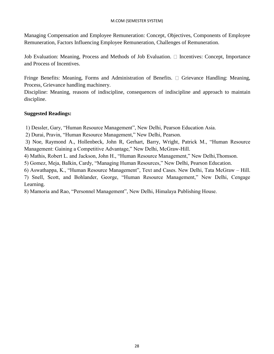#### M.COM (SEMESTER SYSTEM)

Managing Compensation and Employee Remuneration: Concept, Objectives, Components of Employee Remuneration, Factors Influencing Employee Remuneration, Challenges of Remuneration.

Job Evaluation: Meaning, Process and Methods of Job Evaluation.  $\Box$  Incentives: Concept, Importance and Process of Incentives.

Fringe Benefits: Meaning, Forms and Administration of Benefits.  $\Box$  Grievance Handling: Meaning, Process, Grievance handling machinery.

Discipline: Meaning, reasons of indiscipline, consequences of indiscipline and approach to maintain discipline.

#### **Suggested Readings:**

1) Dessler, Gary, "Human Resource Management", New Delhi, Pearson Education Asia.

2) Durai, Pravin, "Human Resource Management," New Delhi, Pearson.

3) Noe, Raymond A., Hollenbeck, John R, Gerhart, Barry, Wright, Patrick M., "Human Resource Management: Gaining a Competitive Advantage," New Delhi, McGraw-Hill.

4) Mathis, Robert L. and Jackson, John H., "Human Resource Management," New Delhi,Thomson.

5) Gomez, Meja, Balkin, Cardy, "Managing Human Resources," New Delhi, Pearson Education.

6) Aswathappa, K., "Human Resource Management", Text and Cases. New Delhi, Tata McGraw – Hill.

7) Snell, Scott, and Bohlander, George, "Human Resource Management," New Delhi, Cengage Learning.

8) Mamoria and Rao, "Personnel Management", New Delhi, Himalaya Publishing House.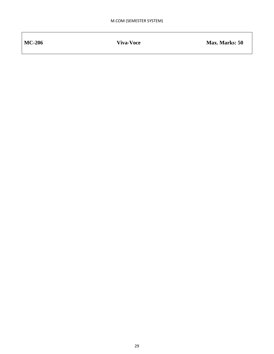MC-206 **Viva-Voce With Max. Marks: 50**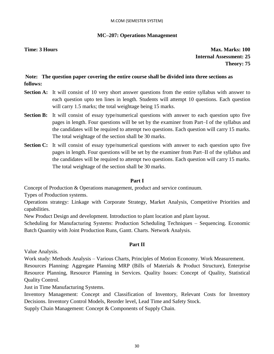#### M.COM (SEMESTER SYSTEM)

#### **MC–207: Operations Management**

**Time: 3 Hours Max. Marks: 100 Internal Assessment: 25 Theory: 75**

#### **Note: The question paper covering the entire course shall be divided into three sections as follows:**

- **Section A:** It will consist of 10 very short answer questions from the entire syllabus with answer to each question upto ten lines in length. Students will attempt 10 questions. Each question will carry 1.5 marks; the total weightage being 15 marks.
- **Section B:** It will consist of essay type/numerical questions with answer to each question upto five pages in length. Four questions will be set by the examiner from Part–I of the syllabus and the candidates will be required to attempt two questions. Each question will carry 15 marks. The total weightage of the section shall be 30 marks.
- **Section C:** It will consist of essay type/numerical questions with answer to each question upto five pages in length. Four questions will be set by the examiner from Part–II of the syllabus and the candidates will be required to attempt two questions. Each question will carry 15 marks. The total weightage of the section shall be 30 marks.

#### **Part I**

Concept of Production & Operations management, product and service continuum.

Types of Production systems.

Operations strategy: Linkage with Corporate Strategy, Market Analysis, Competitive Priorities and capabilities.

New Product Design and development. Introduction to plant location and plant layout.

Scheduling for Manufacturing Systems: Production Scheduling Techniques – Sequencing. Economic Batch Quantity with Joint Production Runs, Gantt. Charts. Network Analysis.

#### **Part II**

Value Analysis.

Work study: Methods Analysis – Various Charts, Principles of Motion Economy. Work Measurement.

Resources Planning: Aggregate Planning MRP (Bills of Materials & Product Structure), Enterprise Resource Planning, Resource Planning in Services. Quality Issues: Concept of Quality, Statistical Quality Control.

Just in Time Manufacturing Systems.

Inventory Management: Concept and Classification of Inventory, Relevant Costs for Inventory Decisions. Inventory Control Models, Reorder level, Lead Time and Safety Stock.

Supply Chain Management: Concept & Components of Supply Chain.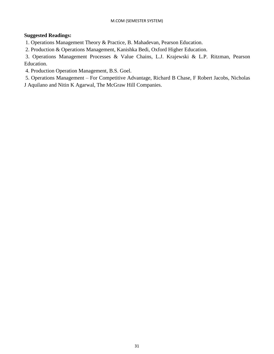#### **Suggested Readings:**

1. Operations Management Theory & Practice, B. Mahadevan, Pearson Education.

2. Production & Operations Management, Kanishka Bedi, Oxford Higher Education.

3. Operations Management Processes & Value Chains, L.J. Krajewski & L.P. Ritzman, Pearson Education.

4. Production Operation Management, B.S. Goel.

5. Operations Management – For Competitive Advantage, Richard B Chase, F Robert Jacobs, Nicholas

J Aquilano and Nitin K Agarwal, The McGraw Hill Companies.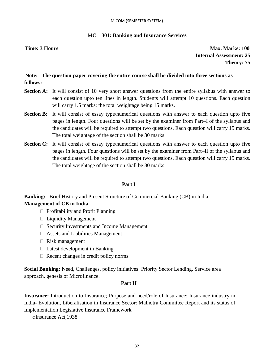#### M.COM (SEMESTER SYSTEM)

#### M**C – 301: Banking and Insurance Services**

**Time: 3 Hours Max. Marks: 100 Internal Assessment: 25 Theory: 75**

#### **Note: The question paper covering the entire course shall be divided into three sections as follows:**

- **Section A:** It will consist of 10 very short answer questions from the entire syllabus with answer to each question upto ten lines in length. Students will attempt 10 questions. Each question will carry 1.5 marks; the total weightage being 15 marks.
- **Section B:** It will consist of essay type/numerical questions with answer to each question upto five pages in length. Four questions will be set by the examiner from Part–I of the syllabus and the candidates will be required to attempt two questions. Each question will carry 15 marks. The total weightage of the section shall be 30 marks.
- **Section C:** It will consist of essay type/numerical questions with answer to each question upto five pages in length. Four questions will be set by the examiner from Part–II of the syllabus and the candidates will be required to attempt two questions. Each question will carry 15 marks. The total weightage of the section shall be 30 marks.

#### **Part I**

**Banking:** Brief History and Present Structure of Commercial Banking (CB) in India **Management of CB in India** 

- $\Box$  Profitability and Profit Planning
- □ Liquidity Management
- □ Security Investments and Income Management
- Assets and Liabilities Management
- $\Box$  Risk management
- $\Box$  Latest development in Banking
- $\Box$  Recent changes in credit policy norms

**Social Banking:** Need, Challenges, policy initiatives: Priority Sector Lending, Service area approach, genesis of Microfinance.

#### **Part II**

**Insurance:** Introduction to Insurance; Purpose and need/role of Insurance; Insurance industry in India- Evolution, Liberalisation in Insurance Sector: Malhotra Committee Report and its status of Implementation Legislative Insurance Framework

oInsurance Act,1938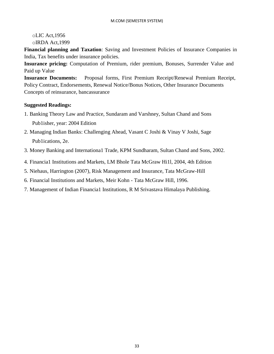#### oLIC Act,1956 oIRDA Act,1999

**Financial planning and Taxation**: Saving and Investment Policies of Insurance Companies in India, Tax benefits under insurance policies.

**Insurance pricing:** Computation of Premium, rider premium, Bonuses, Surrender Value and Paid up Value

**Insurance Documents:** Proposal forms, First Premium Receipt/Renewal Premium Receipt, Policy Contract, Endorsements, Renewal Notice/Bonus Notices, Other Insurance Documents Concepts of reinsurance, bancassurance

- 1. Banking Theory Law and Practice, Sundaram and Varshney, Sultan Chand and Sons Pub1isher, year: 2004 Edition
- 2. Managing Indian Banks: Challenging Ahead, Vasant C Joshi & Vinay V Joshi, Sage Pub1ications, 2e.
- 3. Money Banking and Internationa1 Trade, KPM Sundharam, Sultan Chand and Sons, 2002.
- 4. Financia1 Institutions and Markets, LM Bhole Tata McGraw Hi1l, 2004, 4th Edition
- 5. Niehaus, Harrington (2007), Risk Management and Insurance, Tata McGraw-Hill
- 6. Financial Institutions and Markets, Meir Kohn Tata McGraw Hill, 1996.
- 7. Management of Indian Financia1 Institutions, R M Srivastava Himalaya Publishing.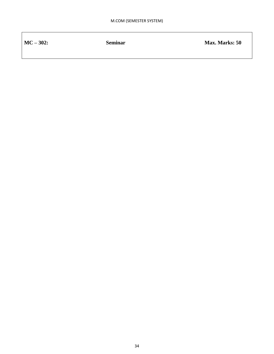| $MC - 302$ : | <b>Seminar</b> | <b>Max. Marks: 50</b> |
|--------------|----------------|-----------------------|
|              |                |                       |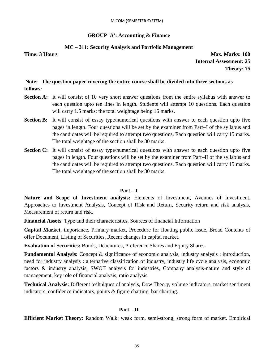#### **GROUP 'A': Accounting & Finance**

#### **MC – 311: Security Analysis and Portfolio Management**

**Time: 3 Hours Max. Marks: 100 Internal Assessment: 25 Theory: 75**

#### **Note: The question paper covering the entire course shall be divided into three sections as follows:**

- **Section A:** It will consist of 10 very short answer questions from the entire syllabus with answer to each question upto ten lines in length. Students will attempt 10 questions. Each question will carry 1.5 marks; the total weightage being 15 marks.
- **Section B:** It will consist of essay type/numerical questions with answer to each question upto five pages in length. Four questions will be set by the examiner from Part–I of the syllabus and the candidates will be required to attempt two questions. Each question will carry 15 marks. The total weightage of the section shall be 30 marks.
- **Section C:** It will consist of essay type/numerical questions with answer to each question upto five pages in length. Four questions will be set by the examiner from Part–II of the syllabus and the candidates will be required to attempt two questions. Each question will carry 15 marks. The total weightage of the section shall be 30 marks.

#### **Part – I**

**Nature and Scope of Investment analysis:** Elements of Investment, Avenues of Investment, Approaches to Investment Analysis, Concept of Risk and Return, Security return and risk analysis, Measurement of return and risk.

**Financial Assets**: Type and their characteristics, Sources of financial Information

**Capital Market**, importance, Primary market, Procedure for floating public issue, Broad Contents of offer Document, Listing of Securities, Recent changes in capital market.

**Evaluation of Securities:** Bonds, Debentures, Preference Shares and Equity Shares.

**Fundamental Analysis:** Concept & significance of economic analysis, industry analysis : introduction, need for industry analysis : alternative classification of industry, industry life cycle analysis, economic factors & industry analysis, SWOT analysis for industries, Company analysis-nature and style of management, key role of financial analysis, ratio analysis.

**Technical Analysis:** Different techniques of analysis, Dow Theory, volume indicators, market sentiment indicators, confidence indicators, points & figure charting, bar charting.

#### **Part – II**

**Efficient Market Theory:** Random Walk: weak form, semi-strong, strong form of market. Empirical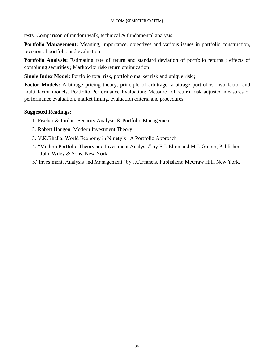tests. Comparison of random walk, technical & fundamental analysis.

**Portfolio Management:** Meaning, importance, objectives and various issues in portfolio construction, revision of portfolio and evaluation

**Portfolio Analysis:** Estimating rate of return and standard deviation of portfolio returns ; effects of combining securities ; Markowitz risk-return optimization

**Single Index Model:** Portfolio total risk, portfolio market risk and unique risk;

**Factor Models:** Arbitrage pricing theory, principle of arbitrage, arbitrage portfolios; two factor and multi factor models. Portfolio Performance Evaluation: Measure of return, risk adjusted measures of performance evaluation, market timing, evaluation criteria and procedures

- 1. Fischer & Jordan: Security Analysis & Portfolio Management
- 2. Robert Haugen: Modern Investment Theory
- 3. V.K.Bhalla: World Economy in Ninety's –A Portfolio Approach
- 4. "Modern Portfolio Theory and Investment Analysis" by E.J. Elton and M.J. Gmber, Publishers: John Wiley & Sons, New York.
- 5."Investment, Analysis and Management" by J.C.Francis, Publishers: McGraw Hill, New York.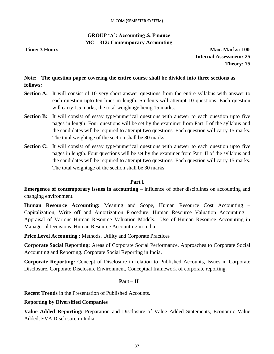# **GROUP 'A': Accounting & Finance MC – 312: Contemporary Accounting**

**Time: 3 Hours Max. Marks: 100 Internal Assessment: 25 Theory: 75**

# **Note: The question paper covering the entire course shall be divided into three sections as follows:**

- **Section A:** It will consist of 10 very short answer questions from the entire syllabus with answer to each question upto ten lines in length. Students will attempt 10 questions. Each question will carry 1.5 marks; the total weightage being 15 marks.
- **Section B:** It will consist of essay type/numerical questions with answer to each question upto five pages in length. Four questions will be set by the examiner from Part–I of the syllabus and the candidates will be required to attempt two questions. Each question will carry 15 marks. The total weightage of the section shall be 30 marks.
- **Section C:** It will consist of essay type/numerical questions with answer to each question upto five pages in length. Four questions will be set by the examiner from Part–II of the syllabus and the candidates will be required to attempt two questions. Each question will carry 15 marks. The total weightage of the section shall be 30 marks.

#### **Part I**

**Emergence of contemporary issues in accounting** – influence of other disciplines on accounting and changing environment.

**Human Resource Accounting:** Meaning and Scope, Human Resource Cost Accounting – Capitalization, Write off and Amortization Procedure. Human Resource Valuation Accounting – Appraisal of Various Human Resource Valuation Models. Use of Human Resource Accounting in Managerial Decisions. Human Resource Accounting in India.

**Price Level Accounting** : Methods, Utility and Corporate Practices

**Corporate Social Reporting:** Areas of Corporate Social Performance, Approaches to Corporate Social Accounting and Reporting. Corporate Social Reporting in India.

**Corporate Reporting:** Concept of Disclosure in relation to Published Accounts, Issues in Corporate Disclosure, Corporate Disclosure Environment, Conceptual framework of corporate reporting.

#### **Part – II**

**Recent Trends** in the Presentation of Published Accounts.

#### **Reporting by Diversified Companies**

**Value Added Reporting:** Preparation and Disclosure of Value Added Statements, Economic Value Added, EVA Disclosure in India.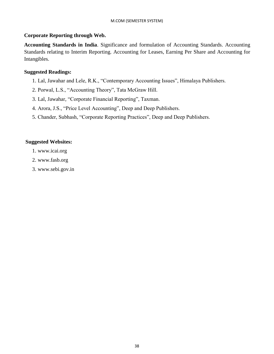# **Corporate Reporting through Web.**

**Accounting Standards in India**. Significance and formulation of Accounting Standards. Accounting Standards relating to Interim Reporting. Accounting for Leases, Earning Per Share and Accounting for Intangibles.

# **Suggested Readings:**

- 1. Lal, Jawahar and Lele, R.K., "Contemporary Accounting Issues", Himalaya Publishers.
- 2. Porwal, L.S., "Accounting Theory", Tata McGraw Hill.
- 3. Lal, Jawahar, "Corporate Financial Reporting", Taxman.
- 4. Arora, J.S., "Price Level Accounting", Deep and Deep Publishers.
- 5. Chander, Subhash, "Corporate Reporting Practices", Deep and Deep Publishers.

# **Suggested Websites:**

- 1. www.icai.org
- 2. www.fasb.org
- 3. www.sebi.gov.in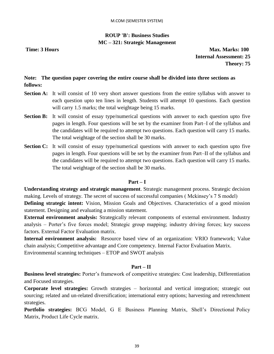# **ROUP 'B': Business Studies MC – 321: Strategic Management**

**Time: 3 Hours Max. Marks: 100 Internal Assessment: 25 Theory: 75**

# **Note: The question paper covering the entire course shall be divided into three sections as follows:**

- **Section A:** It will consist of 10 very short answer questions from the entire syllabus with answer to each question upto ten lines in length. Students will attempt 10 questions. Each question will carry 1.5 marks; the total weightage being 15 marks.
- **Section B:** It will consist of essay type/numerical questions with answer to each question upto five pages in length. Four questions will be set by the examiner from Part–I of the syllabus and the candidates will be required to attempt two questions. Each question will carry 15 marks. The total weightage of the section shall be 30 marks.
- **Section C:** It will consist of essay type/numerical questions with answer to each question upto five pages in length. Four questions will be set by the examiner from Part–II of the syllabus and the candidates will be required to attempt two questions. Each question will carry 15 marks. The total weightage of the section shall be 30 marks.

# **Part – I**

**Understanding strategy and strategic management**. Strategic management process. Strategic decision making. Levels of strategy. The secret of success of successful companies ( Mckinsey's 7 S model) **Defining strategic intent:** Vision, Mission Goals and Objectives. Characteristics of a good mission statement. Designing and evaluating a mission statement.

**External environment analysis:** Strategically relevant components of external environment. Industry analysis – Porter's five forces model; Strategic group mapping; industry driving forces; key success factors. External Factor Evaluation matrix.

**Internal environment analysis:** Resource based view of an organization: VRIO framework; Value chain analysis; Competitive advantage and Core competency. Internal Factor Evaluation Matrix. Environmental scanning techniques – ETOP and SWOT analysis

#### **Part – II**

**Business level strategies:** Porter's framework of competitive strategies: Cost leadership, Differentiation and Focused strategies.

**Corporate level strategies:** Growth strategies – horizontal and vertical integration; strategic out sourcing; related and un-related diversification; international entry options; harvesting and retrenchment strategies.

**Portfolio strategies:** BCG Model, G E Business Planning Matrix, Shell's Directional Policy Matrix, Product Life Cycle matrix.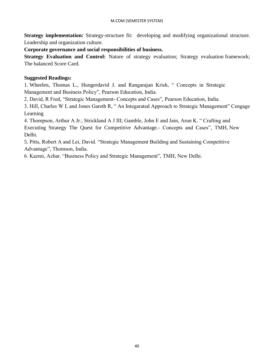**Strategy implementation:** Strategy-structure fit: developing and modifying organizational structure. Leadership and organization culture.

**Corporate governance and social responsibilities of business.**

**Strategy Evaluation and Control:** Nature of strategy evaluation; Strategy evaluation framework; The balanced Score Card.

# **Suggested Readings:**

1. Wheelen, Thomas L., Hungerdavid J. and Rangarajan Krish, " Concepts in Strategic Management and Business Policy", Pearson Education, India.

2. David, R Fred, "Strategic Management- Concepts and Cases", Pearson Education, India.

3. Hill, Charles W L and Jones Gareth R, " An Integarated Approach to Strategic Management" Cengage Learning

4. Thompson, Arthur A Jr.; Strickland A J III; Gamble, John E and Jain, Arun K. " Crafting and Executing Strategy The Quest for Competitive Advantage.- Concepts and Cases", TMH, New Delhi.

5. Pitts, Robert A and Lei, David. "Strategic Management Building and Sustaining Competitive Advantage", Thomson, India.

6. Kazmi, Azhar. "Business Policy and Strategic Management", TMH, New Delhi.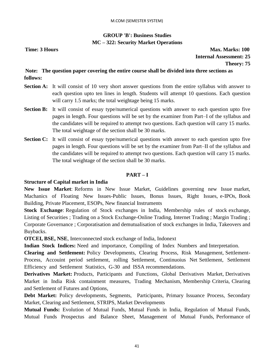# **GROUP 'B': Business Studies MC – 322: Security Market Operations**

**Time: 3 Hours Max. Marks: 100 Internal Assessment: 25 Theory: 75**

# **Note: The question paper covering the entire course shall be divided into three sections as follows:**

- **Section A:** It will consist of 10 very short answer questions from the entire syllabus with answer to each question upto ten lines in length. Students will attempt 10 questions. Each question will carry 1.5 marks; the total weightage being 15 marks.
- **Section B:** It will consist of essay type/numerical questions with answer to each question upto five pages in length. Four questions will be set by the examiner from Part–I of the syllabus and the candidates will be required to attempt two questions. Each question will carry 15 marks. The total weightage of the section shall be 30 marks.
- **Section C:** It will consist of essay type/numerical questions with answer to each question upto five pages in length. Four questions will be set by the examiner from Part–II of the syllabus and the candidates will be required to attempt two questions. Each question will carry 15 marks. The total weightage of the section shall be 30 marks.

# **PART – I**

# **Structure of Capital market in India**

**New Issue Market**: Reforms in New Issue Market, Guidelines governing new Issue market, Machanics of Floating New Issues-Public Issues, Bonus Issues, Right Issues, e-IPOs, Book Building, Private Placement, ESOPs, New financial Instruments

**Stock Exchange**: Regulation of Stock exchanges in India, Membership rules of stock exchange, Listing of Securities ; Trading on a Stock Exchange-Online Trading, Internet Trading ; Margin Trading ; Corporate Governance ; Corporatisation and demutualisation of stock exchanges in India, Takeovers and Buybacks.

**OTCEI, BSE, NSE**, Interconnected stock exchange of India, Indonext

**Indian Stock Indices:** Need and importance, Compiling of Index Numbers and Interpretation.

**Clearing and Settlement:** Policy Developments, Clearing Process, Risk Management, Settlement-Process, Accouint period settlement, rolling Settlement, Continuoius Net Settlement, Settlement Efficiency and Settlement Statistics, G-30 and ISSA recommendations.

**Derivatives Market:** Products, Participants and Functions, Global Derivatives Market, Derivatives Market in India Risk containment measures, Trading Mechanism, Membership Criteria, Clearing and Settlement of Futures and Options,

**Debt Market:** Policy developments, Segments, Participants, Primary Issuance Process, Secondary Market, Clearing and Settlement, STRIPS, Market Developments

**Mutual Funds:** Evolution of Mutual Funds, Mutual Funds in India, Regulation of Mutual Funds, Mutual Funds Prospectus and Balance Sheet, Management of Mutual Funds, Performance of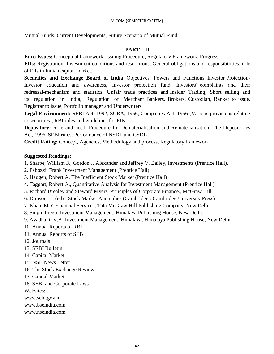Mutual Funds, Current Developments, Future Scenario of Mutual Fund

# **PART – II**

**Euro Issues:** Conceptual framework, Issuing Procedure, Regulatory Framework, Progress

**FIIs:** Registration, Investment conditions and restrictions, General obligations and responsibilities, role of FIIs in Indian capital market.

**Securities and Exchange Board of India:** Objectives, Powers and Functions Investor Protection-Investor education and awareness, Investor protection fund, Investors' complaints and their redressal-mechanism and statistics, Unfair trade practices and Insider Trading, Short selling and its regulation in India, Regulation of Merchant Bankers, Brokers, Custodian, Banker to issue, Registrar to issue, Portfolio manager and Underwriters

**Legal Environment:** SEBI Act, 1992, SCRA, 1956, Companies Act, 1956 (Various provisions relating to securities), RBI rules and guidelines for FIIs

**Depository:** Role and need, Procedure for Dematerialisation and Rematerialisation, The Depositories Act, 1996, SEBI rules, Performance of NSDL and CSDL

**Credit Rating:** Concept, Agencies, Methodology and process, Regulatory framework.

## **Suggested Readings:**

1. Sharpe, William F., Gordon J. Alexander and Jeffrey V. Bailey, Investments (Prentice Hall).

- 2. Fabozzi, Frank Investment Management (Prentice Hall)
- 3. Haugen, Robert A. The Inefficient Stock Market (Prentice Hall)
- 4. Taggart, Robert A., Quantitative Analysis for Investment Management (Prentice Hall)
- 5. Richard Brealey and Steward Myers. Principles of Corporate Finance., McGraw Hill.
- 6. Dimson, E. (ed) : Stock Market Anomalies (Cambridge : Cambridge University Press)
- 7. Khan, M.Y.Financial Services, Tata McGraw Hill Publishing Company, New Delhi.
- 8. Singh, Preeti, Investment Management, Himalaya Publishing House, New Delhi.
- 9. Avadhani, V.A. Investment Management, Himalaya, Himalaya Publishing House, New Delhi.
- 10. Annual Reports of RBI
- 11. Annual Reports of SEBI
- 12. Journals
- 13. SEBI Bulletin
- 14. Capital Market
- 15. NSE News Letter
- 16. The Stock Exchange Review
- 17. Capital Market
- 18. SEBI and Corporate Laws

Websites:

www.sebi.gov.in

- www.bseindia.com
- www.nseindia.com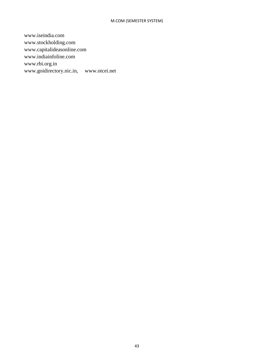www.iseindia.com www.stockholding.com www.capitalideasonline.com www.indiainfoline.com www.rbi.org.in www.goidirectory.nic.in, www.otcei.net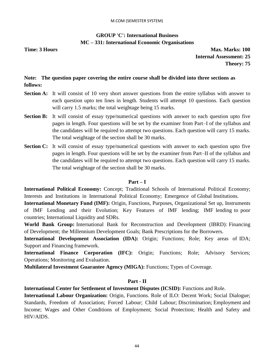# **GROUP 'C': International Business MC – 331: International Economic Organisations**

**Time: 3 Hours Max. Marks: 100 Internal Assessment: 25 Theory: 75**

# **Note: The question paper covering the entire course shall be divided into three sections as follows:**

- **Section A:** It will consist of 10 very short answer questions from the entire syllabus with answer to each question upto ten lines in length. Students will attempt 10 questions. Each question will carry 1.5 marks; the total weightage being 15 marks.
- **Section B:** It will consist of essay type/numerical questions with answer to each question upto five pages in length. Four questions will be set by the examiner from Part–I of the syllabus and the candidates will be required to attempt two questions. Each question will carry 15 marks. The total weightage of the section shall be 30 marks.
- **Section C:** It will consist of essay type/numerical questions with answer to each question upto five pages in length. Four questions will be set by the examiner from Part–II of the syllabus and the candidates will be required to attempt two questions. Each question will carry 15 marks. The total weightage of the section shall be 30 marks.

#### **Part – I**

**International Political Economy:** Concept; Traditional Schools of International Political Economy; Interests and Institutions in International Political Economy; Emergence of Global Institutions.

**International Monetary Fund (IMF):** Origin, Functions, Purposes, Organizational Set up, Instruments of IMF Lending and their Evolution; Key Features of IMF lending; IMF lending to poor countries; International Liquidity and SDRs.

**World Bank Group:** International Bank for Reconstruction and Development (IBRD): Financing of Development; the Millennium Development Goals; Bank Prescriptions for the Borrowers.

**International Development Association (IDA):** Origin; Functions; Role; Key areas of IDA; Support and Financing framework.

**International Finance Corporation (IFC):** Origin; Functions; Role; Advisory Services; Operations; Monitoring and Evaluation.

**Multilateral Investment Guarantee Agency (MIGA):** Functions; Types of Coverage.

# **Part - II**

**International Center for Settlement of Investment Disputes (ICSID):** Functions and Role.

**International Labour Organization:** Origin, Functions. Role of ILO: Decent Work; Social Dialogue; Standards, Freedom of Association; Forced Labour; Child Labour; Discrimination; Employment and Income; Wages and Other Conditions of Employment; Social Protection; Health and Safety and HIV/AIDS.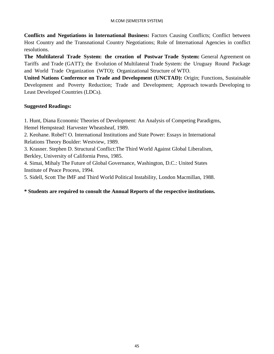**Conflicts and Negotiations in International Business:** Factors Causing Conflicts; Conflict between Host Country and the Transnational Country Negotiations; Role of International Agencies in conflict resolutions.

**The Multilateral Trade System: the creation of Postwar Trade System:** General Agreement on Tariffs and Trade (GATT); the Evolution of Multilateral Trade System: the Uruguay Round Package and World Trade Organization (WTO); Organizational Structure of WTO.

**United Nations Conference on Trade and Development (UNCTAD):** Origin; Functions, Sustainable Development and Poverty Reduction; Trade and Development; Approach towards Developing to Least Developed Countries (LDCs).

# **Suggested Readings:**

1. Hunt, Diana Economic Theories of Development: An Analysis of Competing Paradigms, Hemel Hempstead: Harvester Wheatsheaf, 1989.

2. Keohane. Robel'! O. International Institutions and State Power: Essays in International Relations Theory Boulder: Westview, 1989.

3. Krasner. Stephen D. Structural Conflict:The Third World Against Global Liberalism, Berkley, University of California Press, 1985.

4. Simai, Mihaly The Future of Global Governance, Washington, D.C.: United States Institute of Peace Process, 1994.

5. Sidell, Scott The IMF and Third World Political Instability, London Macmillan, 1988.

# **\* Students are required to consult the Annual Reports of the respective institutions.**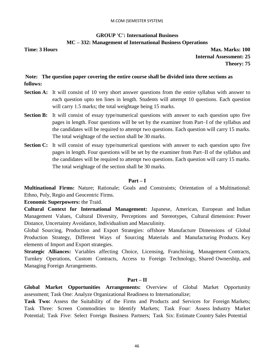# **GROUP 'C': International Business MC – 332: Management of International Business Operations**

**Time: 3 Hours Max. Marks: 100 Internal Assessment: 25 Theory: 75**

# **Note: The question paper covering the entire course shall be divided into three sections as follows:**

- **Section A:** It will consist of 10 very short answer questions from the entire syllabus with answer to each question upto ten lines in length. Students will attempt 10 questions. Each question will carry 1.5 marks; the total weightage being 15 marks.
- **Section B:** It will consist of essay type/numerical questions with answer to each question upto five pages in length. Four questions will be set by the examiner from Part–I of the syllabus and the candidates will be required to attempt two questions. Each question will carry 15 marks. The total weightage of the section shall be 30 marks.
- **Section C:** It will consist of essay type/numerical questions with answer to each question upto five pages in length. Four questions will be set by the examiner from Part–II of the syllabus and the candidates will be required to attempt two questions. Each question will carry 15 marks. The total weightage of the section shall be 30 marks.

#### **Part – I**

**Multinational Firms:** Nature; Rationale; Goals and Constraints; Orientation of a Multinational: Ethno, Poly, Regio and Geocentric Firms.

**Economic Superpowers:** the Traid.

**Cultural Context for International Management:** Japanese, American, European and Indian Management Values, Cultural Diversity, Perceptions and Stereotypes, Cultural dimension: Power Distance, Uncertainty Avoidance, Individualism and Masculinity.

Global Sourcing, Production and Export Strategies: offshore Manufacture Dimensions of Global Production Strategy, Different Ways of Sourcing Materials and Manufacturing Products. Key elements of Import and Export strategies.

**Strategic Alliances:** Variables affecting Choice, Licensing, Franchising, Management Contracts, Turnkey Operations, Custom Contracts, Access to Foreign Technology, Shared Ownership, and Managing Foreign Arrangements.

#### **Part – II**

**Global Market Opportunities Arrangements:** Overview of Global Market Opportunity assessment; Task One: Analyze Organizational Readiness to Internationalize;

**Task Two:** Assess the Suitability of the Firms and Products and Services for Foreign Markets; Task Three: Screen Commodities to Identify Markets; Task Four: Assess Industry Market Potential; Task Five: Select Foreign Business Partners; Task Six: Estimate Country Sales Potential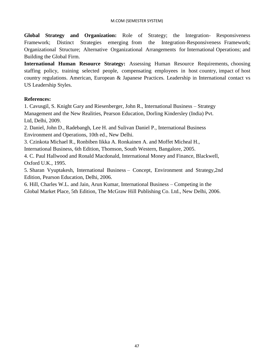**Global Strategy and Organization:** Role of Strategy; the Integration- Responsiveness Framework; Distinct Strategies emerging from the Integration-Responsiveness Framework; Organizational Structure; Alternative Organizational Arrangements for International Operations; and Building the Global Firm.

**International Human Resource Strategy:** Assessing Human Resource Requirements, choosing staffing policy, training selected people, compensating employees in host country, impact of host country regulations. American, European & Japanese Practices. Leadership in International contact vs US Leadership Styles.

# **References:**

1. Cavusgil, S. Knight Gary and Riesenberger, John R., International Business – Strategy Management and the New Realities, Pearson Education, Dorling Kindersley (India) Pvt. Ltd, Delhi, 2009.

2. Daniel, John D., Radebangh, Lee H. and Sulivan Daniel P., International Business Environment and Operations, 10th ed., New Delhi.

3. Czinkota Michael R., Ronbiben Iikka A. Ronkainen A. and Moffet Micheal H.,

International Business, 6th Edition, Thomson, South Western, Bangalore, 2005.

4. C. Paul Hallwood and Ronald Macdonald, International Money and Finance, Blackwell, Oxford U.K., 1995.

5. Sharan Vyuptakesh, International Business – Concept, Environment and Strategy,2nd Edition, Pearson Education, Delhi, 2006.

6. Hill, Charles W.L. and Jain, Arun Kumar, International Business – Competing in the Global Market Place, 5th Edition, The McGraw Hill Publishing Co. Ltd., New Delhi, 2006.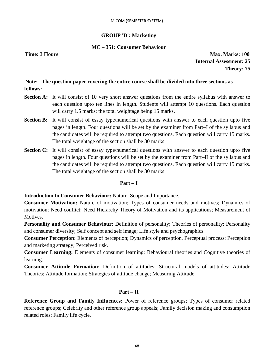#### **GROUP 'D': Marketing**

#### **MC – 351: Consumer Behaviour**

**Time: 3 Hours Max. Marks: 100 Internal Assessment: 25 Theory: 75**

# **Note: The question paper covering the entire course shall be divided into three sections as follows:**

- **Section A:** It will consist of 10 very short answer questions from the entire syllabus with answer to each question upto ten lines in length. Students will attempt 10 questions. Each question will carry 1.5 marks; the total weightage being 15 marks.
- **Section B:** It will consist of essay type/numerical questions with answer to each question upto five pages in length. Four questions will be set by the examiner from Part–I of the syllabus and the candidates will be required to attempt two questions. Each question will carry 15 marks. The total weightage of the section shall be 30 marks.
- **Section C:** It will consist of essay type/numerical questions with answer to each question upto five pages in length. Four questions will be set by the examiner from Part–II of the syllabus and the candidates will be required to attempt two questions. Each question will carry 15 marks. The total weightage of the section shall be 30 marks.

#### **Part – I**

**Introduction to Consumer Behaviour:** Nature, Scope and Importance.

**Consumer Motivation:** Nature of motivation; Types of consumer needs and motives; Dynamics of motivation; Need conflict; Need Hierarchy Theory of Motivation and its applications; Measurement of Motives.

**Personality and Consumer Behaviour:** Definition of personality; Theories of personality; Personality and consumer diversity; Self concept and self image; Life style and psychographics.

**Consumer Perception:** Elements of perception; Dynamics of perception, Perceptual process; Perception and marketing strategy; Perceived risk.

**Consumer Learning:** Elements of consumer learning; Behavioural theories and Cognitive theories of learning.

**Consumer Attitude Formation:** Definition of attitudes; Structural models of attitudes; Attitude Theories; Attitude formation; Strategies of attitude change; Measuring Attitude.

#### **Part – II**

**Reference Group and Family Influences:** Power of reference groups; Types of consumer related reference groups; Celebrity and other reference group appeals; Family decision making and consumption related roles; Family life cycle.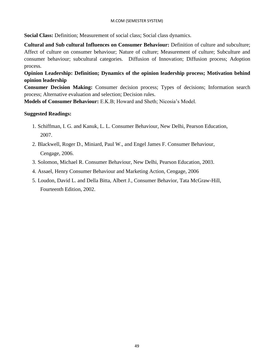**Social Class:** Definition; Measurement of social class; Social class dynamics.

**Cultural and Sub cultural Influences on Consumer Behaviour:** Definition of culture and subculture; Affect of culture on consumer behaviour; Nature of culture; Measurement of culture; Subculture and consumer behaviour; subcultural categories. Diffusion of Innovation; Diffusion process; Adoption process.

**Opinion Leadership: Definition; Dynamics of the opinion leadership process; Motivation behind opinion leadership** 

**Consumer Decision Making:** Consumer decision process; Types of decisions; Information search process; Alternative evaluation and selection; Decision rules.

**Models of Consumer Behaviour:** E.K.B; Howard and Sheth; Nicosia's Model.

## **Suggested Readings:**

- 1. Schiffman, I. G. and Kanuk, L. L. Consumer Behaviour, New Delhi, Pearson Education, 2007.
- 2. Blackwell, Roger D., Miniard, Paul W., and Engel James F. Consumer Behaviour, Cengage, 2006.
- 3. Solomon, Michael R. Consumer Behaviour, New Delhi, Pearson Education, 2003.
- 4. Assael, Henry Consumer Behaviour and Marketing Action, Cengage, 2006
- 5. Loudon, David L. and Della Bitta, Albert J., Consumer Behavior, Tata McGraw-Hill, Fourteenth Edition, 2002.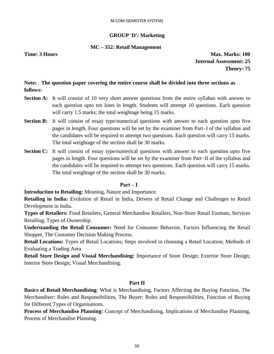#### **GROUP 'D': Marketing**

#### **MC – 352: Retail Management**

**Time: 3 Hours Max. Marks: 100 Internal Assessment: 25 Theory: 75**

# **Note: The question paper covering the entire course shall be divided into three sections as follows:**

- **Section A:** It will consist of 10 very short answer questions from the entire syllabus with answer to each question upto ten lines in length. Students will attempt 10 questions. Each question will carry 1.5 marks; the total weightage being 15 marks.
- **Section B:** It will consist of essay type/numerical questions with answer to each question upto five pages in length. Four questions will be set by the examiner from Part–I of the syllabus and the candidates will be required to attempt two questions. Each question will carry 15 marks. The total weightage of the section shall be 30 marks.
- **Section C:** It will consist of essay type/numerical questions with answer to each question upto five pages in length. Four questions will be set by the examiner from Part–II of the syllabus and the candidates will be required to attempt two questions. Each question will carry 15 marks. The total weightage of the section shall be 30 marks.

#### **Part – I**

**Introduction to Retailing:** Meaning, Nature and Importance.

**Retailing in India:** Evolution of Retail in India, Drivers of Retail Change and Challenges to Retail Development in India.

**Types of Retailers:** Food Retailers, General Merchandise Retailers, Non-Store Retail Formats, Services Retailing, Types of Ownership.

**Understanding the Retail Consumer:** Need for Consumer Behavior, Factors Influencing the Retail Shopper, The Customer Decision Making Process.

**Retail Locations:** Types of Retail Locations; Steps involved in choosing a Retail Location; Methods of Evaluating a Trading Area

**Retail Store Design and Visual Merchandising:** Importance of Store Design; Exterior Store Design; Interior Store Design; Visual Merchandising.

#### **Part II**

**Basics of Retail Merchandising**: What is Merchandising, Factors Affecting the Buying Function, The Merchandiser: Roles and Responsibilities, The Buyer: Roles and Responsibilities, Function of Buying for Different Types of Organisations.

**Process of Merchandise Planning:** Concept of Merchandising, Implications of Merchandise Planning, Process of Merchandise Planning.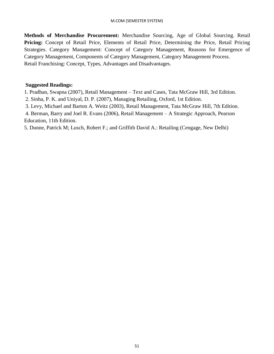**Methods of Merchandise Procurement:** Merchandise Sourcing, Age of Global Sourcing. Retail **Pricing:** Concept of Retail Price, Elements of Retail Price, Determining the Price, Retail Pricing Strategies. Category Management: Concept of Category Management, Reasons for Emergence of Category Management, Components of Category Management, Category Management Process. Retail Franchising: Concept, Types, Advantages and Disadvantages.

## **Suggested Readings:**

1. Pradhan, Swapna (2007), Retail Management – Text and Cases, Tata McGraw Hill, 3rd Edition. 2. Sinha, P. K. and Uniyal, D. P. (2007), Managing Retailing, Oxford, 1st Edition.

3. Levy, Michael and Barton A. Weitz (2003), Retail Management, Tata McGraw Hill, 7th Edition.

4. Berman, Barry and Joel R. Evans (2006), Retail Management – A Strategic Approach, Pearson Education, 11th Edition.

5. Dunne, Patrick M; Lusch, Robert F.; and Griffith David A.: Retailing (Cengage, New Delhi)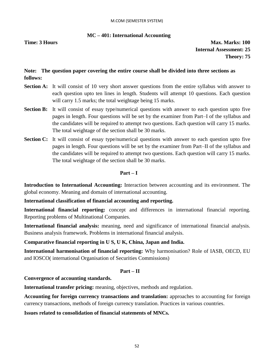# **MC – 401: International Accounting**

**Time: 3 Hours Max. Marks: 100 Internal Assessment: 25 Theory: 75**

# **Note: The question paper covering the entire course shall be divided into three sections as follows:**

- **Section A:** It will consist of 10 very short answer questions from the entire syllabus with answer to each question upto ten lines in length. Students will attempt 10 questions. Each question will carry 1.5 marks; the total weightage being 15 marks.
- **Section B:** It will consist of essay type/numerical questions with answer to each question upto five pages in length. Four questions will be set by the examiner from Part–I of the syllabus and the candidates will be required to attempt two questions. Each question will carry 15 marks. The total weightage of the section shall be 30 marks.
- **Section C:** It will consist of essay type/numerical questions with answer to each question upto five pages in length. Four questions will be set by the examiner from Part–II of the syllabus and the candidates will be required to attempt two questions. Each question will carry 15 marks. The total weightage of the section shall be 30 marks.

#### **Part – I**

**Introduction to International Accounting:** Interaction between accounting and its environment. The global economy. Meaning and domain of international accounting.

#### **International classification of financial accounting and reporting.**

**International financial reporting:** concept and differences in international financial reporting. Reporting problems of Multinational Companies.

**International financial analysis:** meaning, need and significance of international financial analysis. Business analysis framework. Problems in international financial analysis.

# **Comparative financial reporting in U S, U K, China, Japan and India.**

**International harmonisation of financial reporting:** Why harmonisation? Role of IASB, OECD, EU and IOSCO( international Organisation of Securities Commissions)

#### **Part – II**

#### **Convergence of accounting standards.**

**International transfer pricing:** meaning, objectives, methods and regulation.

**Accounting for foreign currency transactions and translation:** approaches to accounting for foreign currency transactions, methods of foreign currency translation. Practices in various countries.

#### **Issues related to consolidation of financial statements of MNCs.**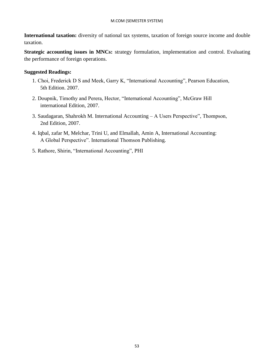**International taxation:** diversity of national tax systems, taxation of foreign source income and double taxation.

**Strategic accounting issues in MNCs:** strategy formulation, implementation and control. Evaluating the performance of foreign operations.

# **Suggested Readings:**

- 1. Choi, Frederick D S and Meek, Garry K, "International Accounting", Pearson Education, 5th Edition. 2007.
- 2. Doupnik, Timothy and Perera, Hector, "International Accounting", McGraw Hill international Edition, 2007.
- 3. Saudagaran, Shahrokh M. International Accounting A Users Perspective", Thompson, 2nd Edition, 2007.
- 4. Iqbal, zafar M, Melchar, Trini U, and Elmallah, Amin A, International Accounting: A Global Perspective". International Thomson Publishing.
- 5. Rathore, Shirin, "International Accounting", PHI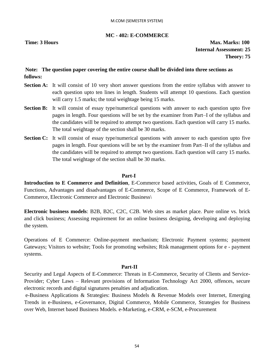## **MC - 402: E-COMMERCE**

**Time: 3 Hours Max. Marks: 100 Internal Assessment: 25 Theory: 75**

# **Note: The question paper covering the entire course shall be divided into three sections as follows:**

- **Section A:** It will consist of 10 very short answer questions from the entire syllabus with answer to each question upto ten lines in length. Students will attempt 10 questions. Each question will carry 1.5 marks; the total weightage being 15 marks.
- **Section B:** It will consist of essay type/numerical questions with answer to each question upto five pages in length. Four questions will be set by the examiner from Part–I of the syllabus and the candidates will be required to attempt two questions. Each question will carry 15 marks. The total weightage of the section shall be 30 marks.
- **Section C:** It will consist of essay type/numerical questions with answer to each question upto five pages in length. Four questions will be set by the examiner from Part–II of the syllabus and the candidates will be required to attempt two questions. Each question will carry 15 marks. The total weightage of the section shall be 30 marks.

#### **Part-I**

**Introduction to E Commerce and Definition**, E-Commerce based activities, Goals of E Commerce, Functions, Advantages and disadvantages of E-Commerce, Scope of E Commerce, Framework of E-Commerce, Electronic Commerce and Electronic Business\

**Electronic business models**: B2B, B2C, C2C, C2B. Web sites as market place. Pure online vs. brick and click business; Assessing requirement for an online business designing, developing and deploying the system.

Operations of E Commerce: Online-payment mechanism; Electronic Payment systems; payment Gateways; Visitors to website; Tools for promoting websites; Risk management options for e - payment systems.

#### **Part-II**

Security and Legal Aspects of E-Commerce: Threats in E-Commerce, Security of Clients and Service-Provider; Cyber Laws – Relevant provisions of Information Technology Act 2000, offences, secure electronic records and digital signatures penalties and adjudication.

e-Business Applications & Strategies: Business Models & Revenue Models over Internet, Emerging Trends in e-Business, e-Governance, Digital Commerce, Mobile Commerce, Strategies for Business over Web, Internet based Business Models. e-Marketing, e-CRM, e-SCM, e-Procurement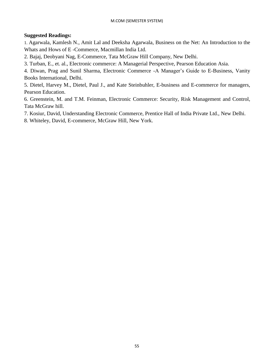## **Suggested Readings:**

1. Agarwala, Kamlesh N., Amit Lal and Deeksha Agarwala, Business on the Net: An Introduction to the Whats and Hows of E -Commerce, Macmillan India Ltd.

2. Bajaj, Deobyani Nag, E-Commerce, Tata McGraw Hill Company, New Delhi.

3. Turban, E., et. al., Electronic commerce: A Managerial Perspective, Pearson Education Asia.

4. Diwan, Prag and Sunil Sharma, Electronic Commerce -A Manager's Guide to E-Business, Vanity Books International, Delhi.

5. Dietel, Harvey M., Dietel, Paul J., and Kate Steinbuhler, E-business and E-commerce for managers, Pearson Education.

6. Greenstein, M. and T.M. Feinman, Electronic Commerce: Security, Risk Management and Control, Tata McGraw hill.

7. Kosiur, David, Understanding Electronic Commerce, Prentice Hall of India Private Ltd., New Delhi.

8. Whiteley, David, E-commerce, McGraw Hill, New York.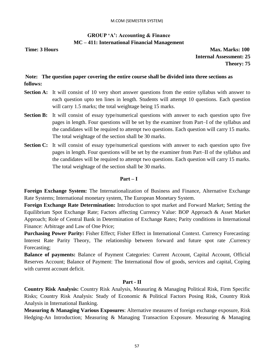# **GROUP 'A': Accounting & Finance MC – 411: International Financial Management**

**Time: 3 Hours Max. Marks: 100 Internal Assessment: 25 Theory: 75**

# **Note: The question paper covering the entire course shall be divided into three sections as follows:**

- **Section A:** It will consist of 10 very short answer questions from the entire syllabus with answer to each question upto ten lines in length. Students will attempt 10 questions. Each question will carry 1.5 marks; the total weightage being 15 marks.
- **Section B:** It will consist of essay type/numerical questions with answer to each question upto five pages in length. Four questions will be set by the examiner from Part–I of the syllabus and the candidates will be required to attempt two questions. Each question will carry 15 marks. The total weightage of the section shall be 30 marks.
- **Section C:** It will consist of essay type/numerical questions with answer to each question upto five pages in length. Four questions will be set by the examiner from Part–II of the syllabus and the candidates will be required to attempt two questions. Each question will carry 15 marks. The total weightage of the section shall be 30 marks.

#### **Part – I**

**Foreign Exchange System:** The Internationalization of Business and Finance, Alternative Exchange Rate Systems; International monetary system, The European Monetary System.

**Foreign Exchange Rate Determination:** Introduction to spot market and Forward Market; Setting the Equilibrium Spot Exchange Rate; Factors affecting Currency Value: BOP Approach & Asset Market Approach; Role of Central Bank in Determination of Exchange Rates; Parity conditions in International Finance: Arbitrage and Law of One Price;

**Purchasing Power Parity:** Fisher Effect; Fisher Effect in International Context. Currency Forecasting: Interest Rate Parity Theory, The relationship between forward and future spot rate ,Currency Forecasting;

**Balance of payments:** Balance of Payment Categories: Current Account, Capital Account, Official Reserves Account; Balance of Payment: The International flow of goods, services and capital, Coping with current account deficit.

#### **Part - II**

**Country Risk Analysis:** Country Risk Analysis, Measuring & Managing Political Risk, Firm Specific Risks; Country Risk Analysis: Study of Economic & Political Factors Posing Risk, Country Risk Analysis in International Banking.

**Measuring & Managing Various Exposures**: Alternative measures of foreign exchange exposure, Risk Hedging-An Introduction; Measuring & Managing Transaction Exposure. Measuring & Managing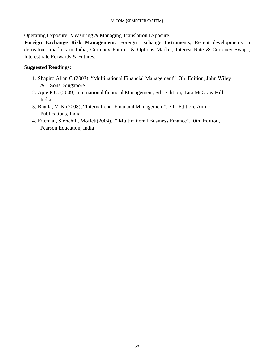Operating Exposure; Measuring & Managing Translation Exposure.

**Foreign Exchange Risk Management:** Foreign Exchange Instruments, Recent developments in derivatives markets in India; Currency Futures & Options Market; Interest Rate & Currency Swaps; Interest rate Forwards & Futures.

## **Suggested Readings:**

- 1. Shapiro Allan C (2003), "Multinational Financial Management", 7th Edition, John Wiley & Sons, Singapore
- 2. Apte P.G. (2009) International financial Management, 5th Edition, Tata McGraw Hill, India
- 3. Bhalla, V. K (2008), "International Financial Management", 7th Edition, Anmol Publications, India
- 4. Eiteman, Stonehill, Moffett(2004), " Multinational Business Finance",10th Edition, Pearson Education, India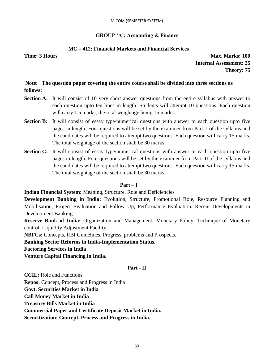#### **GROUP 'A': Accounting & Finance**

## **MC – 412: Financial Markets and Financial Services**

**Time: 3 Hours Max. Marks: 100 Internal Assessment: 25 Theory: 75**

# **Note: The question paper covering the entire course shall be divided into three sections as follows:**

- **Section A:** It will consist of 10 very short answer questions from the entire syllabus with answer to each question upto ten lines in length. Students will attempt 10 questions. Each question will carry 1.5 marks; the total weightage being 15 marks.
- **Section B:** It will consist of essay type/numerical questions with answer to each question upto five pages in length. Four questions will be set by the examiner from Part–I of the syllabus and the candidates will be required to attempt two questions. Each question will carry 15 marks. The total weightage of the section shall be 30 marks.
- **Section C:** It will consist of essay type/numerical questions with answer to each question upto five pages in length. Four questions will be set by the examiner from Part–II of the syllabus and the candidates will be required to attempt two questions. Each question will carry 15 marks. The total weightage of the section shall be 30 marks.

#### **Part** – **I**

**Indian Financial System:** Meaning, Structure, Role and Deficiencies

**Development Banking in India:** Evolution, Structure, Promotional Role, Resource Planning and Mobilisation, Project Evaluation and Follow Up, Performance Evaluation. Recent Developments in Development Banking.

**Reserve Bank of India:** Organization and Management, Monetary Policy, Technique of Monetary control, Liquidity Adjustment Facility.

**NBFCs:** Concepts, RBI Guidelines, Progress, problems and Prospects.

**Banking Sector Reforms in India-Implementation Status.** 

**Factoring Services in India** 

**Venture Capital Financing in India.** 

#### **Part - II**

**CCIL:** Role and Functions.

**Repos:** Concept, Process and Progress in India

**Govt. Securities Market in India** 

**Call Money Market in India** 

**Treasury Bills Market in India** 

**Commercial Paper and Certificate Deposit Market in India.** 

**Securitization: Concept, Process and Progress in India.**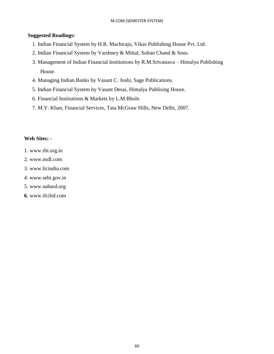## **Suggested Readings:**

- 1. Indian Financial System by H.R. Machiraju, Vikas Publishing House Pvt. Ltd.
- 2. Indian Financial System by Varshney & Mittal, Sultan Chand & Sons.
- 3. Management of Indian Financial Institutions by R.M.Srivastava Himalya Publishing House.
- 4. Managing Indian Banks by Vasant C. Joshi, Sage Publications.
- 5. Indian Financial System by Vasant Desai, Himalya Publising House.
- 6. Financial Institutions & Markets by L.M.Bhole.
- 7. M.Y. Khan, Financial Services, Tata McGraw Hills, New Delhi, 2007.

# **Web Sites: -**

- 1. www.rbi.org.in
- 2. www.nsdl.com
- 3. www.licindia.com
- 4. www.sebi.gov.in
- 5. www.nabard.org
- **6.** www.ifciltd.com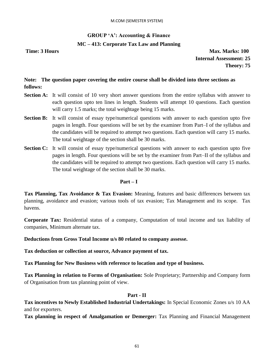## **GROUP 'A': Accounting & Finance**

### **MC – 413: Corporate Tax Law and Planning**

**Time: 3 Hours Max. Marks: 100 Internal Assessment: 25 Theory: 75**

**Note: The question paper covering the entire course shall be divided into three sections as follows:** 

- **Section A:** It will consist of 10 very short answer questions from the entire syllabus with answer to each question upto ten lines in length. Students will attempt 10 questions. Each question will carry 1.5 marks; the total weightage being 15 marks.
- **Section B:** It will consist of essay type/numerical questions with answer to each question upto five pages in length. Four questions will be set by the examiner from Part–I of the syllabus and the candidates will be required to attempt two questions. Each question will carry 15 marks. The total weightage of the section shall be 30 marks.
- **Section C:** It will consist of essay type/numerical questions with answer to each question upto five pages in length. Four questions will be set by the examiner from Part–II of the syllabus and the candidates will be required to attempt two questions. Each question will carry 15 marks. The total weightage of the section shall be 30 marks.

#### **Part – I**

**Tax Planning, Tax Avoidance & Tax Evasion:** Meaning, features and basic differences between tax planning, avoidance and evasion; various tools of tax evasion; Tax Management and its scope. Tax havens.

**Corporate Tax:** Residential status of a company, Computation of total income and tax liability of companies, Minimum alternate tax.

**Deductions from Gross Total Income u/s 80 related to company assesse.** 

**Tax deduction or collection at source, Advance payment of tax.** 

**Tax Planning for New Business with reference to location and type of business.** 

**Tax Planning in relation to Forms of Organisation:** Sole Proprietary; Partnership and Company form of Organisation from tax planning point of view.

## **Part - II**

**Tax incentives to Newly Established Industrial Undertakings:** In Special Economic Zones u/s 10 AA and for exporters.

**Tax planning in respect of Amalgamation or Demerger:** Tax Planning and Financial Management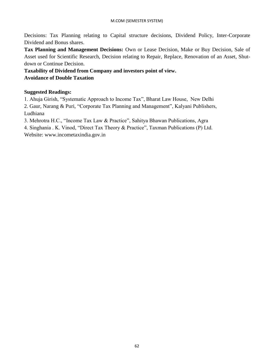Decisions: Tax Planning relating to Capital structure decisions, Dividend Policy, Inter-Corporate Dividend and Bonus shares.

**Tax Planning and Management Decisions:** Own or Lease Decision, Make or Buy Decision, Sale of Asset used for Scientific Research, Decision relating to Repair, Replace, Renovation of an Asset, Shutdown or Continue Decision.

**Taxability of Dividend from Company and investors point of view. Avoidance of Double Taxation**

# **Suggested Readings:**

1. Ahuja Girish, "Systematic Approach to Income Tax", Bharat Law House, New Delhi

2. Gaur, Narang & Puri, "Corporate Tax Planning and Management", Kalyani Publishers, Ludhiana

3. Mehrotra H.C., "Income Tax Law & Practice", Sahitya Bhawan Publications, Agra

4. Singhania . K. Vinod, "Direct Tax Theory & Practice", Taxman Publications (P) Ltd.

Website: www.incometaxindia.gov.in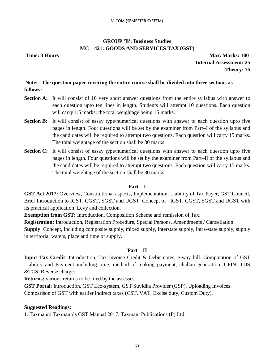# **GROUP 'B': Business Studies MC – 421: GOODS AND SERVICES TAX (GST)**

**Time: 3 Hours Max. Marks: 100 Internal Assessment: 25 Theory: 75**

# **Note: The question paper covering the entire course shall be divided into three sections as follows:**

- **Section A:** It will consist of 10 very short answer questions from the entire syllabus with answer to each question upto ten lines in length. Students will attempt 10 questions. Each question will carry 1.5 marks; the total weightage being 15 marks.
- **Section B:** It will consist of essay type/numerical questions with answer to each question upto five pages in length. Four questions will be set by the examiner from Part–I of the syllabus and the candidates will be required to attempt two questions. Each question will carry 15 marks. The total weightage of the section shall be 30 marks.
- **Section C:** It will consist of essay type/numerical questions with answer to each question upto five pages in length. Four questions will be set by the examiner from Part–II of the syllabus and the candidates will be required to attempt two questions. Each question will carry 15 marks. The total weightage of the section shall be 30 marks.

#### **Part – I**

**GST Act 2017:** Overview, Constitutional aspects, Implementation, Liability of Tax Payer, GST Council, Brief Introduction to IGST, CGST, SGST and UGST. Concept of IGST, CGST, SGST and UGST with its practical application. Levy and collection.

**Exemption from GST:** Introduction, Composition Scheme and remission of Tax.

**Registration:** Introduction, Registration Procedure, Special Persons, Amendments / Cancellation.

**Supply**: Concept, including composite supply, mixed supply, interstate supply, intra-state supply, supply in territorial waters, place and time of supply.

#### **Part – II**

**Input Tax Credit**: Introduction, Tax Invoice Credit & Debit notes, e-way bill. Computation of GST Liability and Payment including time, method of making payment, challan generation, CPIN, TDS &TCS. Reverse charge.

**Returns:** various returns to be filed by the assesses.

**GST Portal**: Introduction, GST Eco-system, GST Suvidha Provider (GSP), Uploading Invoices.

Comparison of GST with earlier indirect taxes (CST, VAT, Excise duty, Custom Duty).

#### **Suggested Readings:**

1. Taxmann: Taxmann's GST Manual 2017. Taxman, Publications (P) Ltd.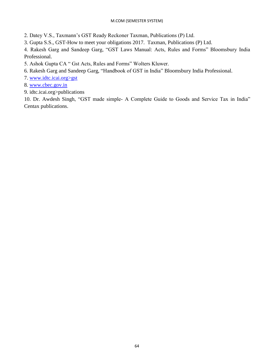2. Datey V.S., Taxmann's GST Ready Reckoner Taxman, Publications (P) Ltd.

3. Gupta S.S., GST-How to meet your obligations 2017. Taxman, Publications (P) Ltd.

4. Rakesh Garg and Sandeep Garg, "GST Laws Manual: Acts, Rules and Forms" Bloomsbury India Professional.

5. Ashok Gupta CA " Gst Acts, Rules and Forms" Wolters Kluwer.

6. Rakesh Garg and Sandeep Garg, "Handbook of GST in India" Bloomsbury India Professional.

7. www.idtc.icai.org>gst

8. [www.cbec.gov.in](http://www.cbec.gov.in/)

9. idtc.icai.org>publications

10. Dr. Awdesh Singh, "GST made simple- A Complete Guide to Goods and Service Tax in India" Centax publications.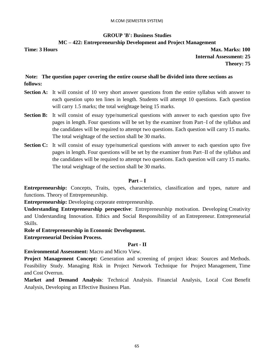# **GROUP 'B': Business Studies MC – 422: Entrepreneurship Development and Project Management**

**Time: 3 Hours Max. Marks: 100 Internal Assessment: 25 Theory: 75**

# **Note: The question paper covering the entire course shall be divided into three sections as follows:**

- **Section A:** It will consist of 10 very short answer questions from the entire syllabus with answer to each question upto ten lines in length. Students will attempt 10 questions. Each question will carry 1.5 marks; the total weightage being 15 marks.
- **Section B:** It will consist of essay type/numerical questions with answer to each question upto five pages in length. Four questions will be set by the examiner from Part–I of the syllabus and the candidates will be required to attempt two questions. Each question will carry 15 marks. The total weightage of the section shall be 30 marks.
- **Section C:** It will consist of essay type/numerical questions with answer to each question upto five pages in length. Four questions will be set by the examiner from Part–II of the syllabus and the candidates will be required to attempt two questions. Each question will carry 15 marks. The total weightage of the section shall be 30 marks.

# **Part – I**

**Entrepreneurship:** Concepts, Traits, types, characteristics, classification and types, nature and functions. Theory of Entrepreneurship.

**Entrepreneurship:** Developing corporate entrepreneurship.

**Understanding Entrepreneurship perspective**: Entrepreneurship motivation. Developing Creativity and Understanding Innovation. Ethics and Social Responsibility of an Entrepreneur. Entrepreneurial Skills.

**Role of Entrepreneurship in Economic Development.**

**Entrepreneurial Decision Process.**

# **Part - II**

**Environmental Assessment:** Macro and Micro View.

**Project Management Concept:** Generation and screening of project ideas: Sources and Methods. Feasibility Study. Managing Risk in Project Network Technique for Project Management, Time and Cost Overrun.

**Market and Demand Analysis**: Technical Analysis. Financial Analysis, Local Cost Benefit Analysis, Developing an Effective Business Plan.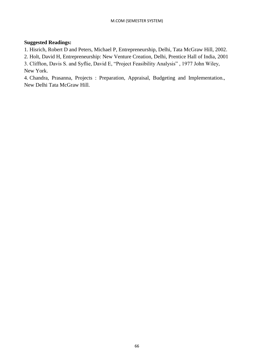## **Suggested Readings:**

1. Hisrich, Robert D and Peters, Michael P, Entrepreneurship, Delhi, Tata McGraw Hill, 2002.

2. Holt, David H, Entrepreneurship: New Venture Creation, Delhi, Prentice Hall of India, 2001

3. Cliffton, Davis S. and Syflie, David E, "Project Feasibility Analysis" , 1977 John Wiley,

New York.

4. Chandra, Prasanna, Projects : Preparation, Appraisal, Budgeting and Implementation., New Delhi Tata McGraw Hill.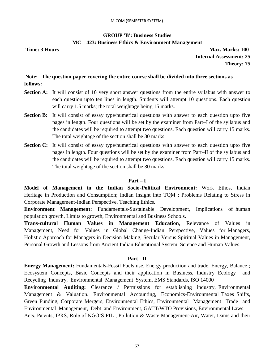# **GROUP 'B': Business Studies MC – 423: Business Ethics & Environment Management**

**Time: 3 Hours Max. Marks: 100 Internal Assessment: 25 Theory: 75**

# **Note: The question paper covering the entire course shall be divided into three sections as follows:**

- **Section A:** It will consist of 10 very short answer questions from the entire syllabus with answer to each question upto ten lines in length. Students will attempt 10 questions. Each question will carry 1.5 marks; the total weightage being 15 marks.
- **Section B:** It will consist of essay type/numerical questions with answer to each question upto five pages in length. Four questions will be set by the examiner from Part–I of the syllabus and the candidates will be required to attempt two questions. Each question will carry 15 marks. The total weightage of the section shall be 30 marks.
- **Section C:** It will consist of essay type/numerical questions with answer to each question upto five pages in length. Four questions will be set by the examiner from Part–II of the syllabus and the candidates will be required to attempt two questions. Each question will carry 15 marks. The total weightage of the section shall be 30 marks.

#### **Part – I**

**Model of Management in the Indian Socio-Political Environment:** Work Ethos, Indian Heritage in Production and Consumption; Indian Insight into TQM ; Problems Relating to Stress in Corporate Management-Indian Perspective, Teaching Ethics.

**Environment Management:** Fundamentals-Sustainable Development, Implications of human population growth, Limits to growth, Environmental and Business Schools.

**Trans-cultural Human Values in Management Education**, Relevance of Values in Management, Need for Values in Global Change-Indian Perspective, Values for Managers, Holistic Approach for Managers in Decision Making, Secular Versus Spiritual Values in Management, Personal Growth and Lessons from Ancient Indian Educational System, Science and Human Values.

#### **Part - II**

**Energy Management:** Fundamentals-Fossil Fuels use, Energy production and trade, Energy, Balance ; Ecosystem Concepts, Basic Concepts and their application in Business, Industry Ecology and Recycling Industry, Environmental Management System, EMS Standards, ISO 14000

**Environmental Auditing:** Clearance / Permissions for establishing industry, Environmental Management & Valuation. Environmental Accounting, Economics-Environmental Taxes Shifts, Green Funding, Corporate Mergers, Environmental Ethics, Environmental Management Trade and Environmental Management, Debt and Environment, GATT/WTO Provisions, Environmental Laws. Acts, Patents, IPRS, Role of NGO'S PIL ; Pollution & Waste Management-Air, Water, Dams and their

67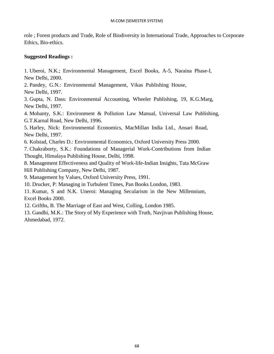role ; Forest products and Trade, Role of Biodiversity in International Trade, Approaches to Corporate Ethics, Bio-ethics.

# **Suggested Readings :**

1. Uberoi, N.K.; Environmental Management, Excel Books, A-5, Naraina Phase-I, New Delhi, 2000.

2. Pandey, G.N.: Environmental Management, Vikas Publishing House, New Delhi, 1997.

3. Gupta, N. Dass: Environmental Accounting, Wheeler Publishing, 19, K.G.Marg, New Delhi, 1997.

4. Mohanty, S.K.: Environment & Pollution Law Manual, Universal Law Publishing, G.T.Karnal Road, New Delhi, 1996.

5. Harley, Nick: Environmental Economics, MacMillan India Ltd., Ansari Road, New Delhi, 1997.

6. Kolstad, Charles D.: Environmental Economics, Oxford University Press 2000.

7. Chakraborty, S.K.: Foundations of Managerial Work-Contributions from Indian Thought, Himalaya Publishing House, Delhi, 1998.

8. Management Effectiveness and Quality of Work-life-Indian Insights, Tata McGraw Hill Publishing Company, New Delhi, 1987.

9. Management by Values, Oxford University Press, 1991.

10. Drucker, P: Managing in Turbulent Times, Pan Books London, 1983.

11. Kumar, S and N.K. Uneroi: Managing Secularism in the New Millennium, Excel Books 2000.

12. Grifths, B. The Marriage of East and West, Colling, London 1985.

13. Gandhi, M.K.: The Story of My Experience with Truth, Navjivan Publishing House, Ahmedabad, 1972.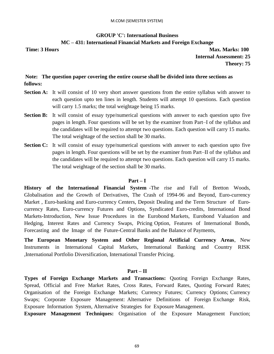## **GROUP 'C': International Business MC – 431: International Financial Markets and Foreign Exchange**

**Time: 3 Hours Max. Marks: 100 Internal Assessment: 25 Theory: 75**

# **Note: The question paper covering the entire course shall be divided into three sections as follows:**

- **Section A:** It will consist of 10 very short answer questions from the entire syllabus with answer to each question upto ten lines in length. Students will attempt 10 questions. Each question will carry 1.5 marks; the total weightage being 15 marks.
- **Section B:** It will consist of essay type/numerical questions with answer to each question upto five pages in length. Four questions will be set by the examiner from Part–I of the syllabus and the candidates will be required to attempt two questions. Each question will carry 15 marks. The total weightage of the section shall be 30 marks.
- **Section C:** It will consist of essay type/numerical questions with answer to each question upto five pages in length. Four questions will be set by the examiner from Part–II of the syllabus and the candidates will be required to attempt two questions. Each question will carry 15 marks. The total weightage of the section shall be 30 marks.

#### **Part – I**

**History of the International Financial System** -The rise and Fall of Bretton Woods, Globalisation and the Growth of Derivatives, The Crash of 1994-96 and Beyond, Euro-currency Market , Euro-banking and Euro-currency Centers, Deposit Dealing and the Term Structure of Eurocurrency Rates, Euro-currency Futures and Options, Syndicated Euro-credits, International Bond Markets-Introduction, New Issue Procedures in the Eurobond Markets, Eurobond Valuation and Hedging, Interest Rates and Currency Swaps, Pricing Option, Features of International Bonds, Forecasting and the Image of the Future-Central Banks and the Balance of Payments,

**The European Monetary System and Other Regional Artificial Currency Areas**, New Instruments in International Capital Markets, International Banking and Country RISK ,International Portfolio Diversification, International Transfer Pricing.

#### **Part – II**

**Types of Foreign Exchange Markets and Transactions:** Quoting Foreign Exchange Rates, Spread, Official and Free Market Rates, Cross Rates, Forward Rates, Quoting Forward Rates; Organisation of the Foreign Exchange Markets; Currency Futures; Currency Options; Currency Swaps; Corporate Exposure Management: Alternative Definitions of Foreign Exchange Risk, Exposure Information System, Alternative Strategies for Exposure Management.

**Exposure Management Techniques:** Organisation of the Exposure Management Function;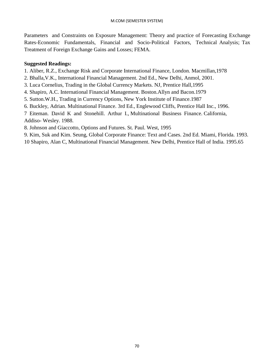Parameters and Constraints on Exposure Management: Theory and practice of Forecasting Exchange Rates-Economic Fundamentals, Financial and Socio-Political Factors, Technical Analysis; Tax Treatment of Foreign Exchange Gains and Losses; FEMA.

## **Suggested Readings:**

- 1. Aliber, R.Z., Exchange Risk and Corporate International Finance, London. Macmillan,1978
- 2. Bhalla,V.K., International Financial Management. 2nd Ed., New Delhi, Anmol, 2001.
- 3. Luca Cornelius, Trading in the Global Currency Markets. NJ, Prentice Hall,1995
- 4. Shapiro, A.C. International Financial Management. Boston.Allyn and Bacon.1979
- 5. Sutton.W.H., Trading in Currency Options, New York Institute of Finance.1987
- 6. Buckley, Adrian. Multinational Finance. 3rd Ed., Englewood Cliffs, Prentice Hall Inc., 1996.
- 7 Eiteman. David K and Stonehill. Arthur I., Multinational Business Finance. California, Addiso- Wesley. 1988.
- 8. Johnson and Giaccotto, Options and Futures. St. Paul. West, 1995
- 9. Kim, Suk and Kim. Seung, Global Corporate Finance: Text and Cases. 2nd Ed. Miami, Florida. 1993.
- 10 Shapiro, Alan C, Multinational Financial Management. New Delhi, Prentice Hall of India. 1995.65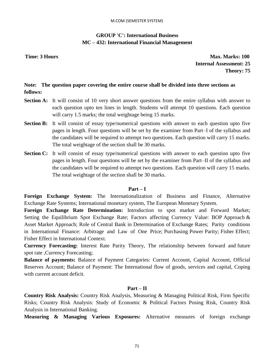# **GROUP 'C': International Business MC – 432: International Financial Management**

**Time: 3 Hours Max. Marks: 100 Internal Assessment: 25 Theory: 75**

# **Note: The question paper covering the entire course shall be divided into three sections as follows:**

- **Section A:** It will consist of 10 very short answer questions from the entire syllabus with answer to each question upto ten lines in length. Students will attempt 10 questions. Each question will carry 1.5 marks; the total weightage being 15 marks.
- **Section B:** It will consist of essay type/numerical questions with answer to each question upto five pages in length. Four questions will be set by the examiner from Part–I of the syllabus and the candidates will be required to attempt two questions. Each question will carry 15 marks. The total weightage of the section shall be 30 marks.
- **Section C:** It will consist of essay type/numerical questions with answer to each question upto five pages in length. Four questions will be set by the examiner from Part–II of the syllabus and the candidates will be required to attempt two questions. Each question will carry 15 marks. The total weightage of the section shall be 30 marks.

#### **Part – I**

**Foreign Exchange System:** The Internationalization of Business and Finance, Alternative Exchange Rate Systems; International monetary system, The European Monetary System.

**Foreign Exchange Rate Determination:** Introduction to spot market and Forward Market; Setting the Equilibrium Spot Exchange Rate; Factors affecting Currency Value: BOP Approach & Asset Market Approach; Role of Central Bank in Determination of Exchange Rates; Parity conditions in International Finance: Arbitrage and Law of One Price; Purchasing Power Parity; Fisher Effect; Fisher Effect in International Context.

**Currency Forecasting:** Interest Rate Parity Theory, The relationship between forward and future spot rate ,Currency Forecasting;

**Balance of payments:** Balance of Payment Categories: Current Account, Capital Account, Official Reserves Account; Balance of Payment: The International flow of goods, services and capital, Coping with current account deficit.

#### **Part – II**

**Country Risk Analysis:** Country Risk Analysis, Measuring & Managing Political Risk, Firm Specific Risks; Country Risk Analysis: Study of Economic & Political Factors Posing Risk, Country Risk Analysis in International Banking.

**Measuring & Managing Various Exposures:** Alternative measures of foreign exchange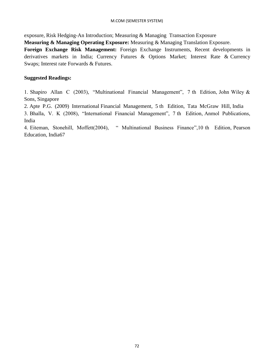exposure, Risk Hedging-An Introduction; Measuring & Managing Transaction Exposure

**Measuring & Managing Operating Exposure:** Measuring & Managing Translation Exposure.

**Foreign Exchange Risk Management:** Foreign Exchange Instruments, Recent developments in derivatives markets in India; Currency Futures & Options Market; Interest Rate & Currency Swaps; Interest rate Forwards & Futures.

#### **Suggested Readings:**

1. Shapiro Allan C (2003), "Multinational Financial Management", 7 th Edition, John Wiley & Sons, Singapore

2. Apte P.G. (2009) International Financial Management, 5 th Edition, Tata McGraw Hill, India

3. Bhalla, V. K (2008), "International Financial Management", 7 th Edition, Anmol Publications, India

4. Eiteman, Stonehill, Moffett(2004), " Multinational Business Finance",10 th Edition, Pearson Education, India67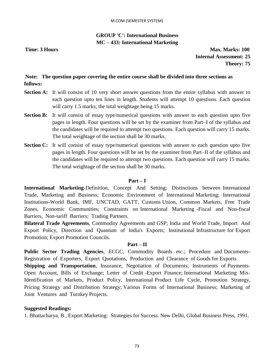# **GROUP 'C': International Business MC – 433: International Marketing**

**Time: 3 Hours Max. Marks: 100 Internal Assessment: 25 Theory: 75**

# **Note: The question paper covering the entire course shall be divided into three sections as follows:**

- **Section A:** It will consist of 10 very short answer questions from the entire syllabus with answer to each question upto ten lines in length. Students will attempt 10 questions. Each question will carry 1.5 marks; the total weightage being 15 marks.
- **Section B:** It will consist of essay type/numerical questions with answer to each question upto five pages in length. Four questions will be set by the examiner from Part–I of the syllabus and the candidates will be required to attempt two questions. Each question will carry 15 marks. The total weightage of the section shall be 30 marks.
- **Section C:** It will consist of essay type/numerical questions with answer to each question upto five pages in length. Four questions will be set by the examiner from Part–II of the syllabus and the candidates will be required to attempt two questions. Each question will carry 15 marks. The total weightage of the section shall be 30 marks.

# **Part – I**

**International Marketing**-Definition, Concept And Setting; Distinctions between International Trade, Marketing and Business; Economic Environment of International Marketing; International Institutions-World Bank, IMF, UNCTAD, GATT, Customs Union, Common Markets, Free Trade Zones, Economic Communities; Constraints on International Marketing -Fiscal and Non-fiscal Barriers, Non-tariff Barriers; Trading Partners.

**Bilateral Trade Agreements**, Commodity Agreements and GSP; India and World Trade, Import And Export Policy, Direction and Quantum of India's Exports; Institutional Infrastructure for Export Promotion; Export Promotion Councils.

#### **Part – II**

**Public Sector Trading Agencies**, ECGC, Commodity Boards etc.; Procedure and Documents-Registration of Exporters, Export Quotations, Production and Clearance of Goods for Exports.

**Shipping and Transportation**, Insurance, Negotiation of Documents; Instruments of Payments-Open Account, Bills of Exchange; Letter of Credit -Export Finance; International Marketing Mix-Identification of Markets, Product Policy, International Product Life Cycle, Promotion Strategy, Pricing Strategy and Distribution Strategy; Various Forms of International Business; Marketing of Joint Ventures and Turnkey Projects.

# **Suggested Readings:**

1. Bhattacharya, B., Export Marketing: Strategies for Success. New Delhi, Global Business Press, 1991.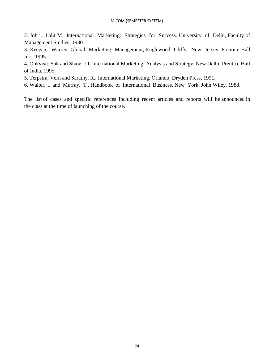2. Johri. Lalit M., International Marketing: Strategies for Success. University of Delhi, Faculty of Management Studies, 1980.

3. Keegan, Warren, Global Marketing Management, Englewood Cliffs, New Jersey, Prentice Hall Inc., 1995.

4. Onkvisit, Sak and Shaw, J J. International Marketing: Analysis and Strategy. New Delhi, Prentice Hall of India, 1995.

5. Terpstra, Vern and Sarathy. R., International Marketing. Orlando, Dryden Press, 1991.

6. Walter, I and Murray, T., Handbook of International Business. New York, John Wiley, 1988.

The list of cases and specific references including recent articles and reports will be announced in the class at the time of launching of the course.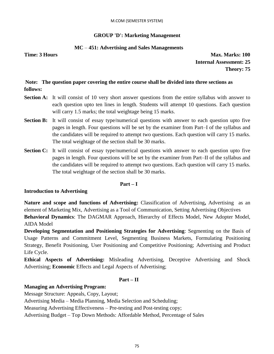#### M.COM (SEMESTER SYSTEM)

# **GROUP 'D': Marketing Management**

# **MC** *–* **451: Advertising and Sales Managements**

**Time: 3 Hours Max. Marks: 100 Internal Assessment: 25 Theory: 75**

# **Note: The question paper covering the entire course shall be divided into three sections as follows:**

- **Section A:** It will consist of 10 very short answer questions from the entire syllabus with answer to each question upto ten lines in length. Students will attempt 10 questions. Each question will carry 1.5 marks; the total weightage being 15 marks.
- **Section B:** It will consist of essay type/numerical questions with answer to each question upto five pages in length. Four questions will be set by the examiner from Part–I of the syllabus and the candidates will be required to attempt two questions. Each question will carry 15 marks. The total weightage of the section shall be 30 marks.
- **Section C:** It will consist of essay type/numerical questions with answer to each question upto five pages in length. Four questions will be set by the examiner from Part–II of the syllabus and the candidates will be required to attempt two questions. Each question will carry 15 marks. The total weightage of the section shall be 30 marks.

#### **Part – I**

#### **Introduction to Advertising**

**Nature and scope and functions of Advertising:** Classification of Advertising**,** Advertising as an element of Marketing Mix, Advertising as a Tool of Communication, Setting Advertising Objectives **Behavioral Dynamics**: The DAGMAR Approach, Hierarchy of Effects Model, New Adopter Model, AIDA Model

**Developing Segmentation and Positioning Strategies for Advertising**: Segmenting on the Basis of Usage Patterns and Commitment Level, Segmenting Business Markets, Formulating Positioning Strategy, Benefit Positioning, User Positioning and Competitive Positioning; Advertising and Product Life Cycle.

**Ethical Aspects of Advertising:** Misleading Advertising, Deceptive Advertising and Shock Advertising; **Economic** Effects and Legal Aspects of Advertising;

# **Part – II**

# **Managing an Advertising Program:**

Message Structure: Appeals, Copy, Layout;

Advertising Media – Media Planning, Media Selection and Scheduling;

Measuring Advertising Effectiveness – Pre-testing and Post-testing copy;

Advertising Budget – Top Down Methods: Affordable Method, Percentage of Sales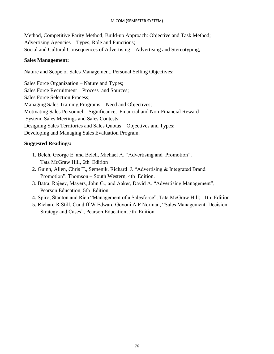#### M.COM (SEMESTER SYSTEM)

Method, Competitive Parity Method; Build-up Approach: Objective and Task Method; Advertising Agencies – Types, Role and Functions; Social and Cultural Consequences of Advertising – Advertising and Stereotyping;

### **Sales Management:**

Nature and Scope of Sales Management, Personal Selling Objectives;

Sales Force Organization – Nature and Types; Sales Force Recruitment – Process and Sources; Sales Force Selection Process; Managing Sales Training Programs – Need and Objectives; Motivating Sales Personnel – Significance, Financial and Non-Financial Reward System, Sales Meetings and Sales Contests; Designing Sales Territories and Sales Quotas – Objectives and Types; Developing and Managing Sales Evaluation Program.

# **Suggested Readings:**

- 1. Belch, George E. and Belch, Michael A. "Advertising and Promotion", Tata McGraw Hill, 6th Edition
- 2. Guinn, Allen, Chris T., Semenik, Richard J. "Advertising & Integrated Brand Promotion", Thomson – South Western, 4th Edition.
- 3. Batra, Rajeev, Mayers, John G., and Aaker, David A. "Advertising Management", Pearson Education, 5th Edition
- 4. Spiro, Stanton and Rich "Management of a Salesforce", Tata McGraw Hill; 11th Edition
- 5. Richard R Still, Cundiff W Edward Govoni A P Norman, "Sales Management: Decision Strategy and Cases", Pearson Education; 5th Edition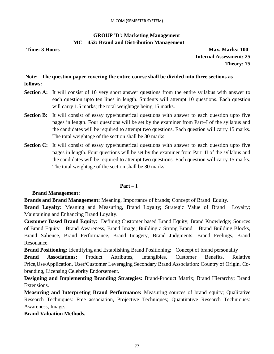# **GROUP 'D': Marketing Management MC – 452: Brand and Distribution Management**

**Time: 3 Hours Max. Marks: 100 Internal Assessment: 25 Theory: 75**

# **Note: The question paper covering the entire course shall be divided into three sections as follows:**

- **Section A:** It will consist of 10 very short answer questions from the entire syllabus with answer to each question upto ten lines in length. Students will attempt 10 questions. Each question will carry 1.5 marks; the total weightage being 15 marks.
- **Section B:** It will consist of essay type/numerical questions with answer to each question upto five pages in length. Four questions will be set by the examiner from Part–I of the syllabus and the candidates will be required to attempt two questions. Each question will carry 15 marks. The total weightage of the section shall be 30 marks.
- **Section C:** It will consist of essay type/numerical questions with answer to each question upto five pages in length. Four questions will be set by the examiner from Part–II of the syllabus and the candidates will be required to attempt two questions. Each question will carry 15 marks. The total weightage of the section shall be 30 marks.

# **Part – I**

# **Brand Management:**

**Brands and Brand Management:** Meaning, Importance of brands; Concept of Brand Equity.

**Brand Loyalty:** Meaning and Measuring, Brand Loyalty; Strategic Value of Brand Loyalty; Maintaining and Enhancing Brand Loyalty.

**Customer Based Brand Equity:** Defining Customer based Brand Equity; Brand Knowledge; Sources of Brand Equity – Brand Awareness, Brand Image; Building a Strong Brand – Brand Building Blocks, Brand Salience, Brand Performance, Brand Imagery, Brand Judgments, Brand Feelings, Brand Resonance.

**Brand Positioning:** Identifying and Establishing Brand Positioning; Concept of brand personality

**Brand Associations:** Product Attributes, Intangibles, Customer Benefits, Relative Price,Use/Application, User/Customer Leveraging Secondary Brand Association: Country of Origin, Cobranding, Licensing Celebrity Endorsement.

**Designing and Implementing Branding Strategies:** Brand-Product Matrix; Brand Hierarchy; Brand Extensions.

**Measuring and Interpreting Brand Performance:** Measuring sources of brand equity; Qualitative Research Techniques: Free association, Projective Techniques; Quantitative Research Techniques: Awareness, Image.

# **Brand Valuation Methods.**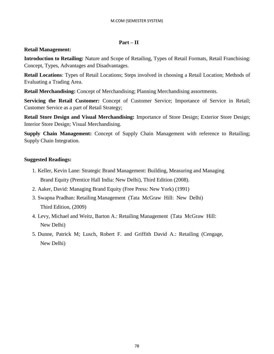# **Part – II**

# **Retail Management:**

**Introduction to Retailing:** Nature and Scope of Retailing, Types of Retail Formats, Retail Franchising: Concept, Types, Advantages and Disadvantages.

**Retail Locations**: Types of Retail Locations; Steps involved in choosing a Retail Location; Methods of Evaluating a Trading Area.

**Retail Merchandising:** Concept of Merchandising; Planning Merchandising assortments.

**Servicing the Retail Customer:** Concept of Customer Service; Importance of Service in Retail; Customer Service as a part of Retail Strategy;

**Retail Store Design and Visual Merchandising:** Importance of Store Design; Exterior Store Design; Interior Store Design; Visual Merchandising.

**Supply Chain Management:** Concept of Supply Chain Management with reference to Retailing; Supply Chain Integration.

# **Suggested Readings:**

- 1. Keller, Kevin Lane: Strategic Brand Management: Building, Measuring and Managing Brand Equity (Prentice Hall India: New Delhi), Third Edition (2008).
- 2. Aaker, David: Managing Brand Equity (Free Press: New York) (1991)
- 3. Swapna Pradhan: Retailing Management (Tata McGraw Hill: New Delhi) Third Edition, (2009)
- 4. Levy, Michael and Weitz, Barton A.: Retailing Management (Tata McGraw Hill: New Delhi)
- 5. Dunne, Patrick M; Lusch, Robert F. and Griffith David A.: Retailing (Cengage, New Delhi)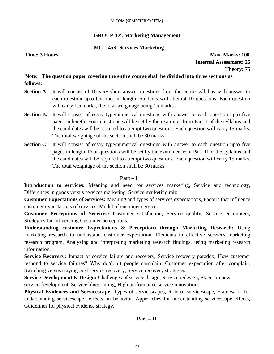# **GROUP 'D': Marketing Management**

# **MC – 453: Services Marketing**

**Time: 3 Hours Max. Marks: 100 Internal Assessment: 25 Theory: 75**

# **Note: The question paper covering the entire course shall be divided into three sections as follows:**

- **Section A:** It will consist of 10 very short answer questions from the entire syllabus with answer to each question upto ten lines in length. Students will attempt 10 questions. Each question will carry 1.5 marks; the total weightage being 15 marks.
- **Section B:** It will consist of essay type/numerical questions with answer to each question upto five pages in length. Four questions will be set by the examiner from Part–I of the syllabus and the candidates will be required to attempt two questions. Each question will carry 15 marks. The total weightage of the section shall be 30 marks.
- **Section C:** It will consist of essay type/numerical questions with answer to each question upto five pages in length. Four questions will be set by the examiner from Part–II of the syllabus and the candidates will be required to attempt two questions. Each question will carry 15 marks. The total weightage of the section shall be 30 marks.

### **Part – I**

**Introduction to services:** Meaning and need for services marketing, Service and technology, Differences in goods versus services marketing, Service marketing mix.

**Customer Expectations of Services:** Meaning and types of services expectations, Factors that influence customer expectations of services, Model of customer service.

**Customer Perceptions of Services:** Customer satisfaction, Service quality, Service encounters, Strategies for influencing Customer perceptions.

**Understanding customer Expectations & Perceptions through Marketing Research:** Using marketing research to understand customer expectation, Elements in effective services marketing research program, Analyzing and interpreting marketing research findings, using marketing research information.

**Service Recovery:** Impact of service failure and recovery, Service recovery paradox, How customer respond to service failures? Why do/don't people complain, Customer expectation after complain, Switching versus staying post service recovery, Service recovery strategies.

**Service Development & Design:** Challenges of service design, Service redesign, Stages in new service development, Service blueprinting, High performance service innovations.

**Physical Evidences and Servicescape:** Types of servicescapes, Role of servicescape, Framework for understanding servicescape effects on behavior, Approaches for understanding servicescape effects, Guidelines for physical evidence strategy.

# **Part – II**